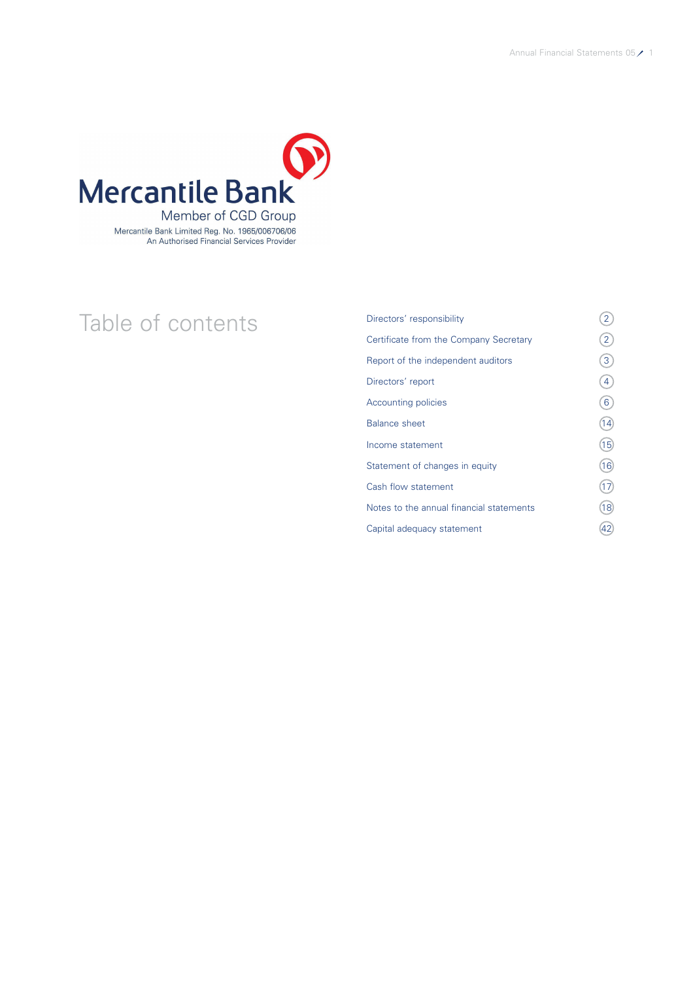

# Table of contents<br>
<sup>Directors' responsibility</sup><br>
Certificate from the Company Secretary (2) Certificate from the Company Secretary Report of the independent auditors  $\qquad \qquad (3)$ Directors' report (4)  $\sqrt{6}$ Balance sheet  $\qquad \qquad (14)$  $Income statement$  (15) Statement of changes in equity (16) Cash flow statement (17) Notes to the annual financial statements  $(18)$ Capital adequacy statement (42)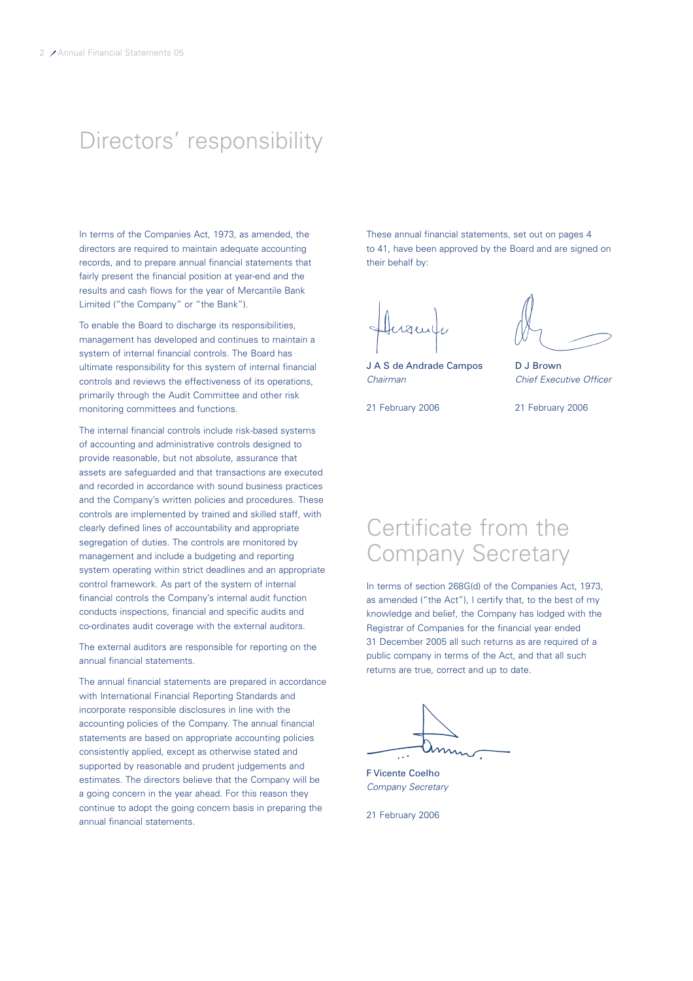# Directors' responsibility

In terms of the Companies Act, 1973, as amended, the directors are required to maintain adequate accounting records, and to prepare annual financial statements that fairly present the financial position at year-end and the results and cash flows for the year of Mercantile Bank Limited ("the Company" or "the Bank").

To enable the Board to discharge its responsibilities, management has developed and continues to maintain a system of internal financial controls. The Board has ultimate responsibility for this system of internal financial controls and reviews the effectiveness of its operations, primarily through the Audit Committee and other risk monitoring committees and functions.

The internal financial controls include risk-based systems of accounting and administrative controls designed to provide reasonable, but not absolute, assurance that assets are safeguarded and that transactions are executed and recorded in accordance with sound business practices and the Company's written policies and procedures. These controls are implemented by trained and skilled staff, with clearly defined lines of accountability and appropriate segregation of duties. The controls are monitored by management and include a budgeting and reporting system operating within strict deadlines and an appropriate control framework. As part of the system of internal financial controls the Company's internal audit function conducts inspections, financial and specific audits and co-ordinates audit coverage with the external auditors.

The external auditors are responsible for reporting on the annual financial statements.

The annual financial statements are prepared in accordance with International Financial Reporting Standards and incorporate responsible disclosures in line with the accounting policies of the Company. The annual financial statements are based on appropriate accounting policies consistently applied, except as otherwise stated and supported by reasonable and prudent judgements and estimates. The directors believe that the Company will be a going concern in the year ahead. For this reason they continue to adopt the going concern basis in preparing the annual financial statements.

These annual financial statements, set out on pages 4 to 41, have been approved by the Board and are signed on their behalf by:

 $1211$ 

J A S de Andrade Campos D J Brown Chairman Chief Executive Officer

21 February 2006 21 February 2006

# Certificate from the Company Secretary

In terms of section 268G(d) of the Companies Act, 1973, as amended ("the Act"), I certify that, to the best of my knowledge and belief, the Company has lodged with the Registrar of Companies for the financial year ended 31 December 2005 all such returns as are required of a public company in terms of the Act, and that all such returns are true, correct and up to date.

F Vicente Coelho Company Secretary

21 February 2006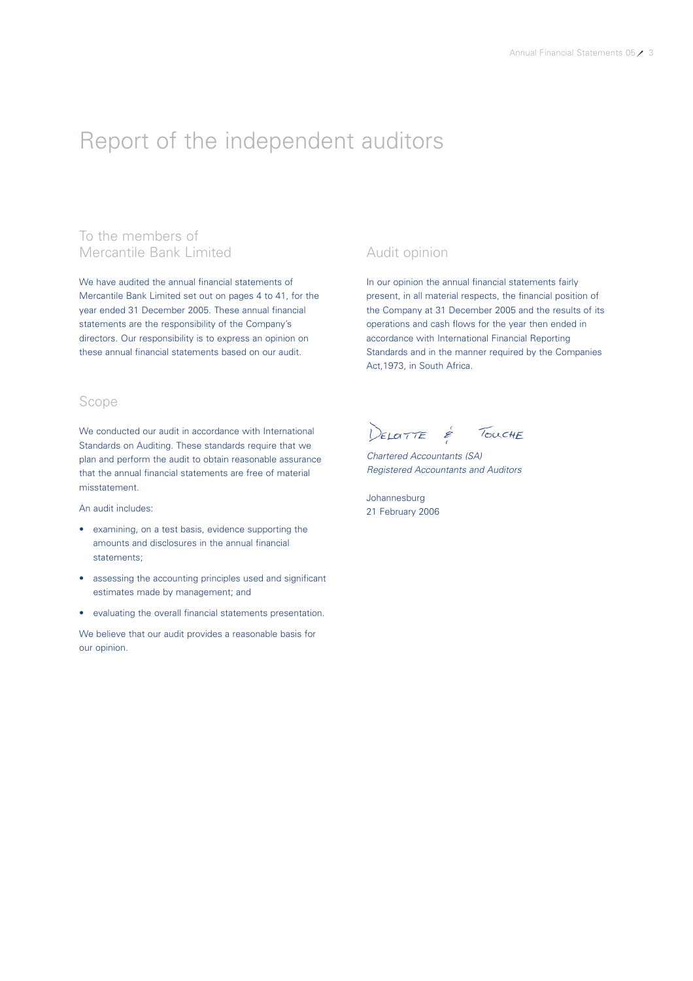# Report of the independent auditors

# To the members of Mercantile Bank Limited

We have audited the annual financial statements of Mercantile Bank Limited set out on pages 4 to 41, for the year ended 31 December 2005. These annual financial statements are the responsibility of the Company's directors. Our responsibility is to express an opinion on these annual financial statements based on our audit.

# Scope

We conducted our audit in accordance with International Standards on Auditing. These standards require that we plan and perform the audit to obtain reasonable assurance that the annual financial statements are free of material misstatement.

An audit includes:

- examining, on a test basis, evidence supporting the amounts and disclosures in the annual financial statements;
- assessing the accounting principles used and significant estimates made by management; and
- evaluating the overall financial statements presentation.

We believe that our audit provides a reasonable basis for our opinion.

# Audit opinion

In our opinion the annual financial statements fairly present, in all material respects, the financial position of the Company at 31 December 2005 and the results of its operations and cash flows for the year then ended in accordance with International Financial Reporting Standards and in the manner required by the Companies Act,1973, in South Africa.

DELOTTE É TOUCHE

Chartered Accountants (SA) Registered Accountants and Auditors

Johannesburg 21 February 2006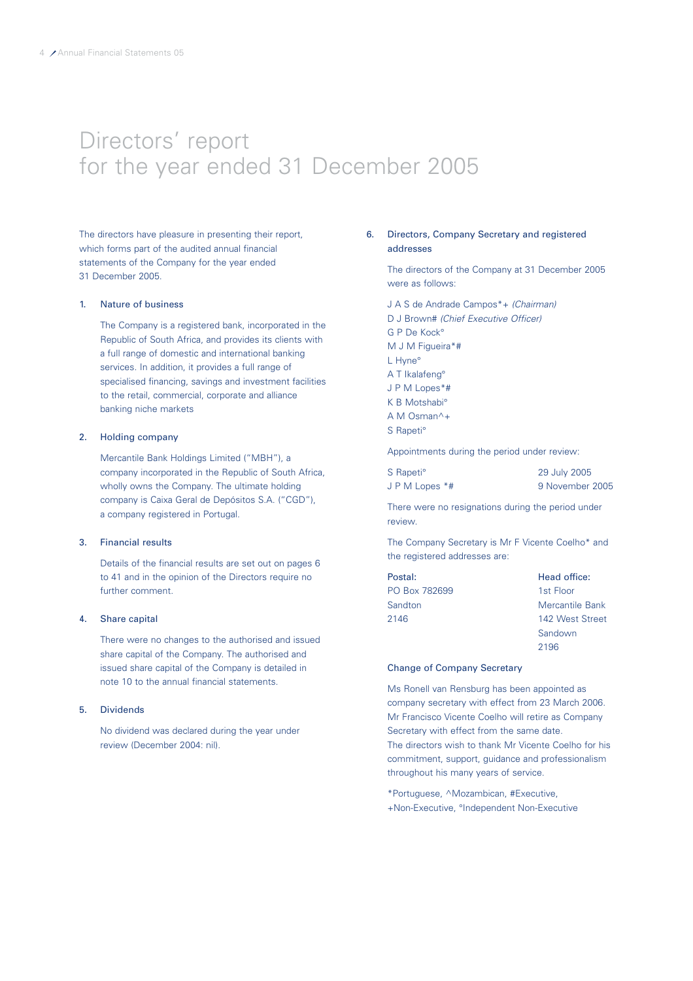# Directors' report for the year ended 31 December 2005

The directors have pleasure in presenting their report, which forms part of the audited annual financial statements of the Company for the year ended 31 December 2005.

#### 1. Nature of business

The Company is a registered bank, incorporated in the Republic of South Africa, and provides its clients with a full range of domestic and international banking services. In addition, it provides a full range of specialised financing, savings and investment facilities to the retail, commercial, corporate and alliance banking niche markets

### 2. Holding company

Mercantile Bank Holdings Limited ("MBH"), a company incorporated in the Republic of South Africa, wholly owns the Company. The ultimate holding company is Caixa Geral de Depósitos S.A. ("CGD"), a company registered in Portugal.

# 3. Financial results

Details of the financial results are set out on pages 6 to 41 and in the opinion of the Directors require no further comment.

### 4. Share capital

There were no changes to the authorised and issued share capital of the Company. The authorised and issued share capital of the Company is detailed in note 10 to the annual financial statements.

#### 5. Dividends

No dividend was declared during the year under review (December 2004: nil).

# 6. Directors, Company Secretary and registered addresses

The directors of the Company at 31 December 2005 were as follows:

J A S de Andrade Campos\*+ (Chairman) D J Brown# (Chief Executive Officer) G P De Kock° M J M Figueira\*# L Hyne° A T Ikalafeng° J P M Lopes\*# K B Motshabi° A M Osman^+ S Rapeti°

Appointments during the period under review:

| S Rapeti <sup>o</sup> | 29 July 2005 |
|-----------------------|--------------|
| J P M Lopes $*$ #     | 9 November   |

<sup>9</sup> November 2005

2196

There were no resignations during the period under review.

The Company Secretary is Mr F Vicente Coelho\* and the registered addresses are:

| Postal:       | Head office:    |
|---------------|-----------------|
| PO Box 782699 | 1st Floor       |
| Sandton       | Mercantile Bank |
| 2146          | 142 West Street |
|               | Sandown         |

### Change of Company Secretary

Ms Ronell van Rensburg has been appointed as company secretary with effect from 23 March 2006. Mr Francisco Vicente Coelho will retire as Company Secretary with effect from the same date. The directors wish to thank Mr Vicente Coelho for his commitment, support, guidance and professionalism throughout his many years of service.

\*Portuguese, ^Mozambican, #Executive, +Non-Executive, °Independent Non-Executive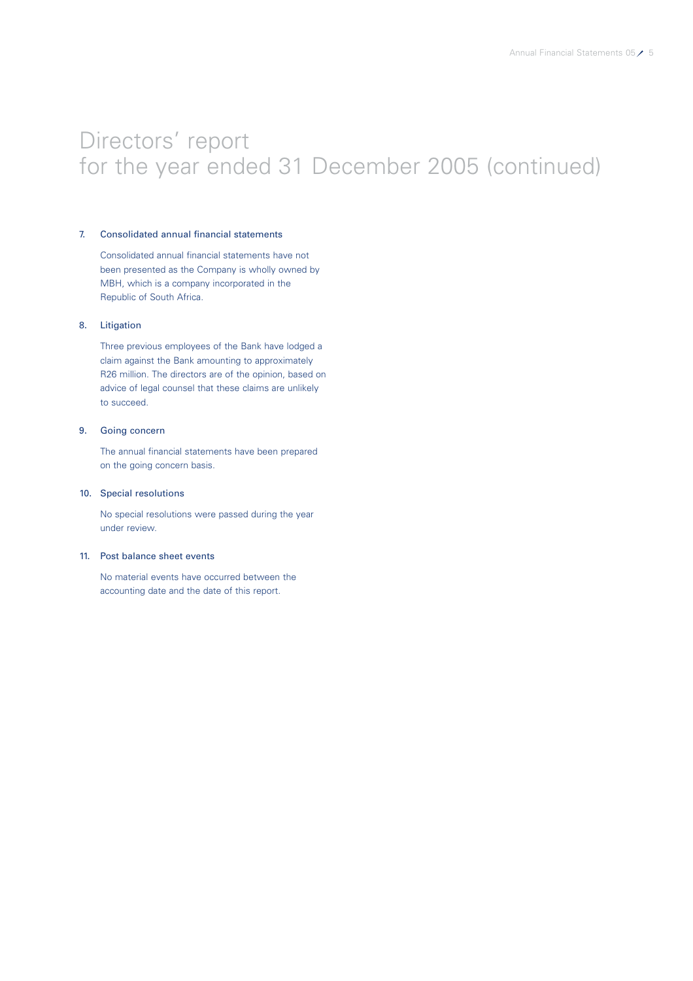# Directors' report for the year ended 31 December 2005 (continued)

### 7. Consolidated annual financial statements

Consolidated annual financial statements have not been presented as the Company is wholly owned by MBH, which is a company incorporated in the Republic of South Africa.

# 8. Litigation

Three previous employees of the Bank have lodged a claim against the Bank amounting to approximately R26 million. The directors are of the opinion, based on advice of legal counsel that these claims are unlikely to succeed.

# 9. Going concern

The annual financial statements have been prepared on the going concern basis.

### 10. Special resolutions

No special resolutions were passed during the year under review.

### 11. Post balance sheet events

No material events have occurred between the accounting date and the date of this report.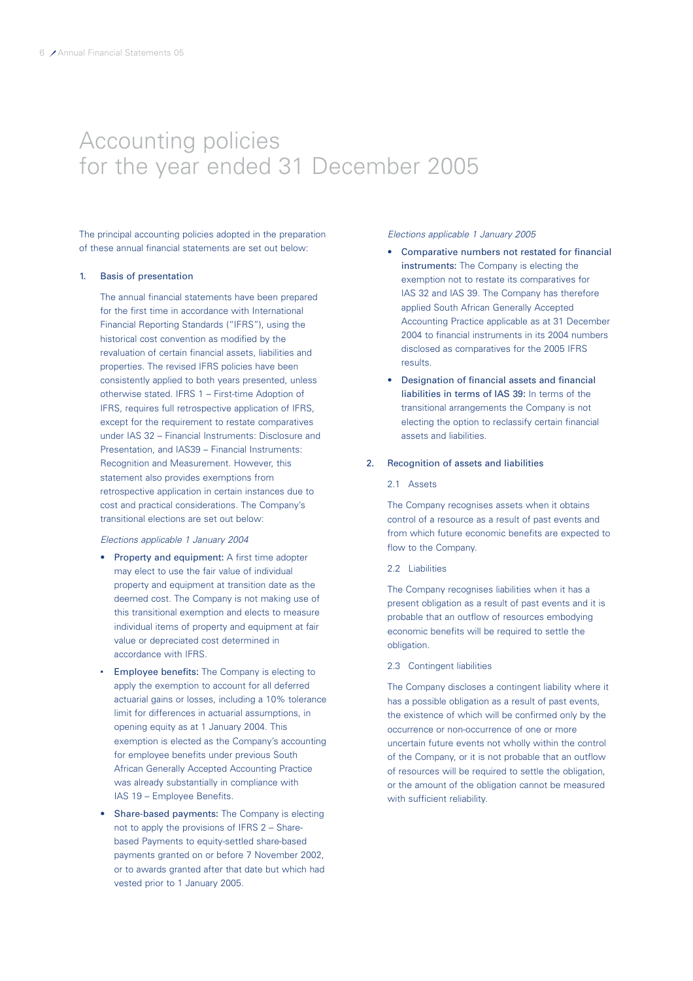# Accounting policies for the year ended 31 December 2005

The principal accounting policies adopted in the preparation of these annual financial statements are set out below:

### 1. Basis of presentation

The annual financial statements have been prepared for the first time in accordance with International Financial Reporting Standards ("IFRS"), using the historical cost convention as modified by the revaluation of certain financial assets, liabilities and properties. The revised IFRS policies have been consistently applied to both years presented, unless otherwise stated. IFRS 1 – First-time Adoption of IFRS, requires full retrospective application of IFRS, except for the requirement to restate comparatives under IAS 32 – Financial Instruments: Disclosure and Presentation, and IAS39 – Financial Instruments: Recognition and Measurement. However, this statement also provides exemptions from retrospective application in certain instances due to cost and practical considerations. The Company's transitional elections are set out below:

#### Elections applicable 1 January 2004

- Property and equipment: A first time adopter may elect to use the fair value of individual property and equipment at transition date as the deemed cost. The Company is not making use of this transitional exemption and elects to measure individual items of property and equipment at fair value or depreciated cost determined in accordance with IFRS.
- Employee benefits: The Company is electing to apply the exemption to account for all deferred actuarial gains or losses, including a 10% tolerance limit for differences in actuarial assumptions, in opening equity as at 1 January 2004. This exemption is elected as the Company's accounting for employee benefits under previous South African Generally Accepted Accounting Practice was already substantially in compliance with IAS 19 – Employee Benefits.
- Share-based payments: The Company is electing not to apply the provisions of IFRS 2 – Sharebased Payments to equity-settled share-based payments granted on or before 7 November 2002, or to awards granted after that date but which had vested prior to 1 January 2005.

#### Elections applicable 1 January 2005

- Comparative numbers not restated for financial instruments: The Company is electing the exemption not to restate its comparatives for IAS 32 and IAS 39. The Company has therefore applied South African Generally Accepted Accounting Practice applicable as at 31 December 2004 to financial instruments in its 2004 numbers disclosed as comparatives for the 2005 IFRS results.
- Designation of financial assets and financial liabilities in terms of IAS 39: In terms of the transitional arrangements the Company is not electing the option to reclassify certain financial assets and liabilities.

#### 2. Recognition of assets and liabilities

#### 2.1 Assets

The Company recognises assets when it obtains control of a resource as a result of past events and from which future economic benefits are expected to flow to the Company.

#### 2.2 Liabilities

The Company recognises liabilities when it has a present obligation as a result of past events and it is probable that an outflow of resources embodying economic benefits will be required to settle the obligation.

#### 2.3 Contingent liabilities

The Company discloses a contingent liability where it has a possible obligation as a result of past events, the existence of which will be confirmed only by the occurrence or non-occurrence of one or more uncertain future events not wholly within the control of the Company, or it is not probable that an outflow of resources will be required to settle the obligation, or the amount of the obligation cannot be measured with sufficient reliability.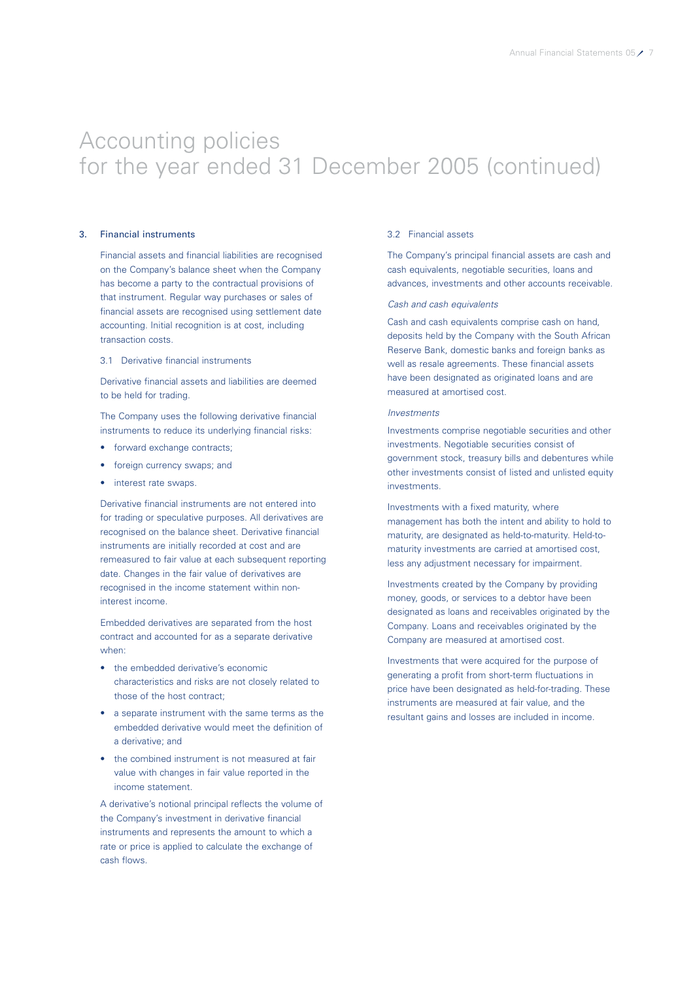### 3. Financial instruments

Financial assets and financial liabilities are recognised on the Company's balance sheet when the Company has become a party to the contractual provisions of that instrument. Regular way purchases or sales of financial assets are recognised using settlement date accounting. Initial recognition is at cost, including transaction costs.

### 3.1 Derivative financial instruments

Derivative financial assets and liabilities are deemed to be held for trading.

The Company uses the following derivative financial instruments to reduce its underlying financial risks:

- forward exchange contracts:
- foreign currency swaps; and
- interest rate swaps.

Derivative financial instruments are not entered into for trading or speculative purposes. All derivatives are recognised on the balance sheet. Derivative financial instruments are initially recorded at cost and are remeasured to fair value at each subsequent reporting date. Changes in the fair value of derivatives are recognised in the income statement within noninterest income.

Embedded derivatives are separated from the host contract and accounted for as a separate derivative when:

- the embedded derivative's economic characteristics and risks are not closely related to those of the host contract;
- a separate instrument with the same terms as the embedded derivative would meet the definition of a derivative; and
- the combined instrument is not measured at fair value with changes in fair value reported in the income statement.

A derivative's notional principal reflects the volume of the Company's investment in derivative financial instruments and represents the amount to which a rate or price is applied to calculate the exchange of cash flows.

### 3.2 Financial assets

The Company's principal financial assets are cash and cash equivalents, negotiable securities, loans and advances, investments and other accounts receivable.

### Cash and cash equivalents

Cash and cash equivalents comprise cash on hand, deposits held by the Company with the South African Reserve Bank, domestic banks and foreign banks as well as resale agreements. These financial assets have been designated as originated loans and are measured at amortised cost.

# Investments

Investments comprise negotiable securities and other investments. Negotiable securities consist of government stock, treasury bills and debentures while other investments consist of listed and unlisted equity **investments** 

Investments with a fixed maturity, where management has both the intent and ability to hold to maturity, are designated as held-to-maturity. Held-tomaturity investments are carried at amortised cost, less any adjustment necessary for impairment.

Investments created by the Company by providing money, goods, or services to a debtor have been designated as loans and receivables originated by the Company. Loans and receivables originated by the Company are measured at amortised cost.

Investments that were acquired for the purpose of generating a profit from short-term fluctuations in price have been designated as held-for-trading. These instruments are measured at fair value, and the resultant gains and losses are included in income.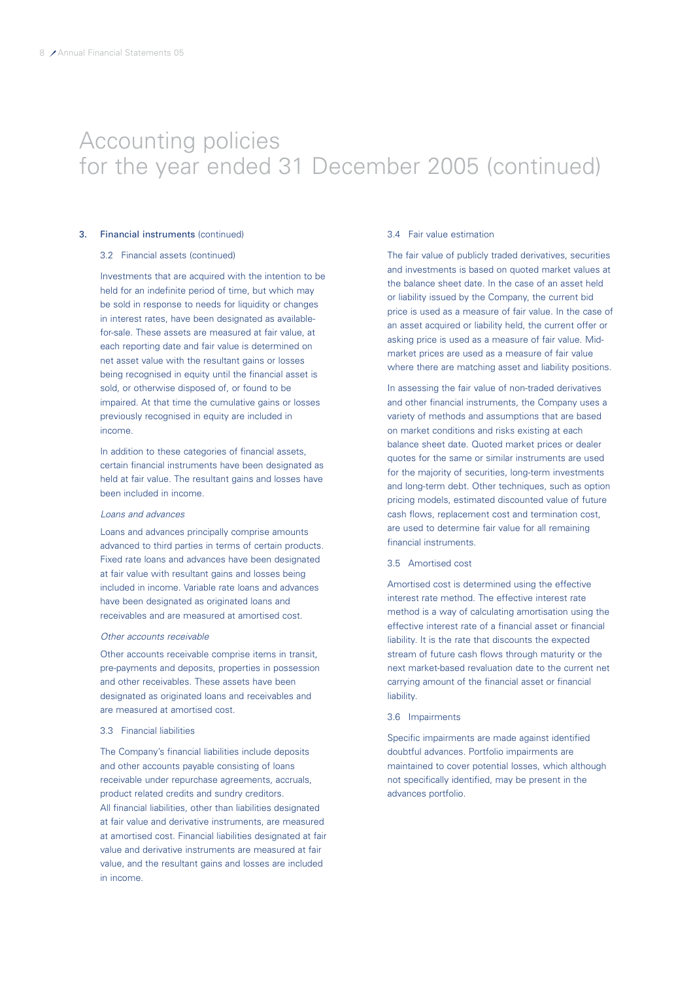### 3. Financial instruments (continued)

### 3.2 Financial assets (continued)

Investments that are acquired with the intention to be held for an indefinite period of time, but which may be sold in response to needs for liquidity or changes in interest rates, have been designated as availablefor-sale. These assets are measured at fair value, at each reporting date and fair value is determined on net asset value with the resultant gains or losses being recognised in equity until the financial asset is sold, or otherwise disposed of, or found to be impaired. At that time the cumulative gains or losses previously recognised in equity are included in income.

In addition to these categories of financial assets, certain financial instruments have been designated as held at fair value. The resultant gains and losses have been included in income.

#### Loans and advances

Loans and advances principally comprise amounts advanced to third parties in terms of certain products. Fixed rate loans and advances have been designated at fair value with resultant gains and losses being included in income. Variable rate loans and advances have been designated as originated loans and receivables and are measured at amortised cost.

#### Other accounts receivable

Other accounts receivable comprise items in transit, pre-payments and deposits, properties in possession and other receivables. These assets have been designated as originated loans and receivables and are measured at amortised cost.

#### 3.3 Financial liabilities

The Company's financial liabilities include deposits and other accounts payable consisting of loans receivable under repurchase agreements, accruals, product related credits and sundry creditors. All financial liabilities, other than liabilities designated at fair value and derivative instruments, are measured at amortised cost. Financial liabilities designated at fair value and derivative instruments are measured at fair value, and the resultant gains and losses are included in income.

#### 3.4 Fair value estimation

The fair value of publicly traded derivatives, securities and investments is based on quoted market values at the balance sheet date. In the case of an asset held or liability issued by the Company, the current bid price is used as a measure of fair value. In the case of an asset acquired or liability held, the current offer or asking price is used as a measure of fair value. Midmarket prices are used as a measure of fair value where there are matching asset and liability positions.

In assessing the fair value of non-traded derivatives and other financial instruments, the Company uses a variety of methods and assumptions that are based on market conditions and risks existing at each balance sheet date. Quoted market prices or dealer quotes for the same or similar instruments are used for the majority of securities, long-term investments and long-term debt. Other techniques, such as option pricing models, estimated discounted value of future cash flows, replacement cost and termination cost, are used to determine fair value for all remaining financial instruments.

#### 3.5 Amortised cost

Amortised cost is determined using the effective interest rate method. The effective interest rate method is a way of calculating amortisation using the effective interest rate of a financial asset or financial liability. It is the rate that discounts the expected stream of future cash flows through maturity or the next market-based revaluation date to the current net carrying amount of the financial asset or financial liability.

#### 3.6 Impairments

Specific impairments are made against identified doubtful advances. Portfolio impairments are maintained to cover potential losses, which although not specifically identified, may be present in the advances portfolio.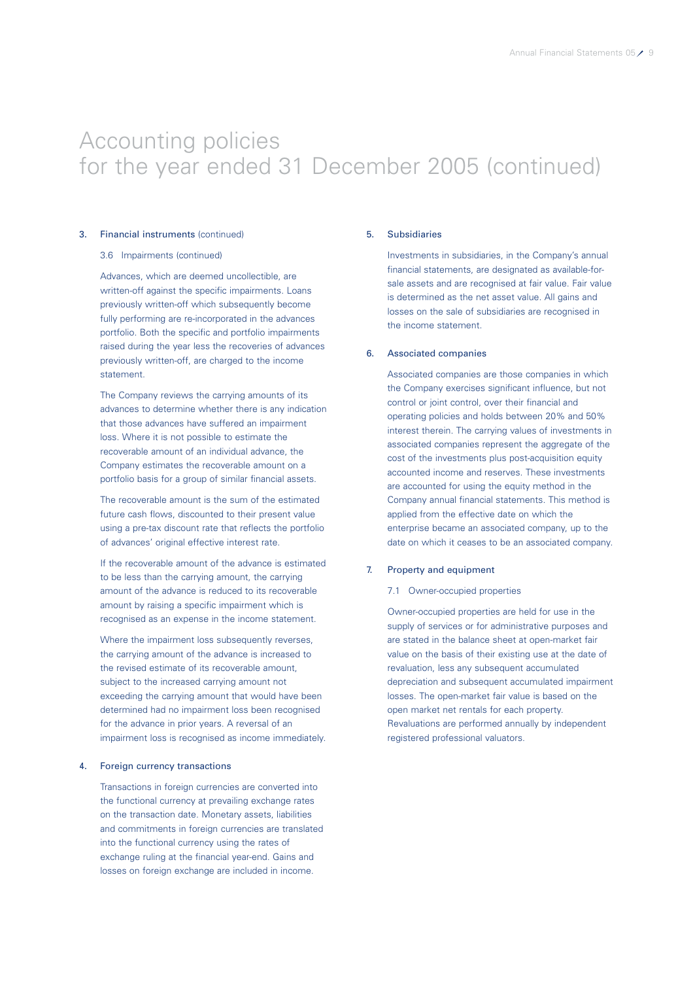### 3. Financial instruments (continued)

### 3.6 Impairments (continued)

Advances, which are deemed uncollectible, are written-off against the specific impairments. Loans previously written-off which subsequently become fully performing are re-incorporated in the advances portfolio. Both the specific and portfolio impairments raised during the year less the recoveries of advances previously written-off, are charged to the income statement.

The Company reviews the carrying amounts of its advances to determine whether there is any indication that those advances have suffered an impairment loss. Where it is not possible to estimate the recoverable amount of an individual advance, the Company estimates the recoverable amount on a portfolio basis for a group of similar financial assets.

The recoverable amount is the sum of the estimated future cash flows, discounted to their present value using a pre-tax discount rate that reflects the portfolio of advances' original effective interest rate.

If the recoverable amount of the advance is estimated to be less than the carrying amount, the carrying amount of the advance is reduced to its recoverable amount by raising a specific impairment which is recognised as an expense in the income statement.

Where the impairment loss subsequently reverses, the carrying amount of the advance is increased to the revised estimate of its recoverable amount, subject to the increased carrying amount not exceeding the carrying amount that would have been determined had no impairment loss been recognised for the advance in prior years. A reversal of an impairment loss is recognised as income immediately.

#### 4. Foreign currency transactions

Transactions in foreign currencies are converted into the functional currency at prevailing exchange rates on the transaction date. Monetary assets, liabilities and commitments in foreign currencies are translated into the functional currency using the rates of exchange ruling at the financial year-end. Gains and losses on foreign exchange are included in income.

#### 5. Subsidiaries

Investments in subsidiaries, in the Company's annual financial statements, are designated as available-forsale assets and are recognised at fair value. Fair value is determined as the net asset value. All gains and losses on the sale of subsidiaries are recognised in the income statement.

### 6. Associated companies

Associated companies are those companies in which the Company exercises significant influence, but not control or joint control, over their financial and operating policies and holds between 20% and 50% interest therein. The carrying values of investments in associated companies represent the aggregate of the cost of the investments plus post-acquisition equity accounted income and reserves. These investments are accounted for using the equity method in the Company annual financial statements. This method is applied from the effective date on which the enterprise became an associated company, up to the date on which it ceases to be an associated company.

#### 7. Property and equipment

#### 7.1 Owner-occupied properties

Owner-occupied properties are held for use in the supply of services or for administrative purposes and are stated in the balance sheet at open-market fair value on the basis of their existing use at the date of revaluation, less any subsequent accumulated depreciation and subsequent accumulated impairment losses. The open-market fair value is based on the open market net rentals for each property. Revaluations are performed annually by independent registered professional valuators.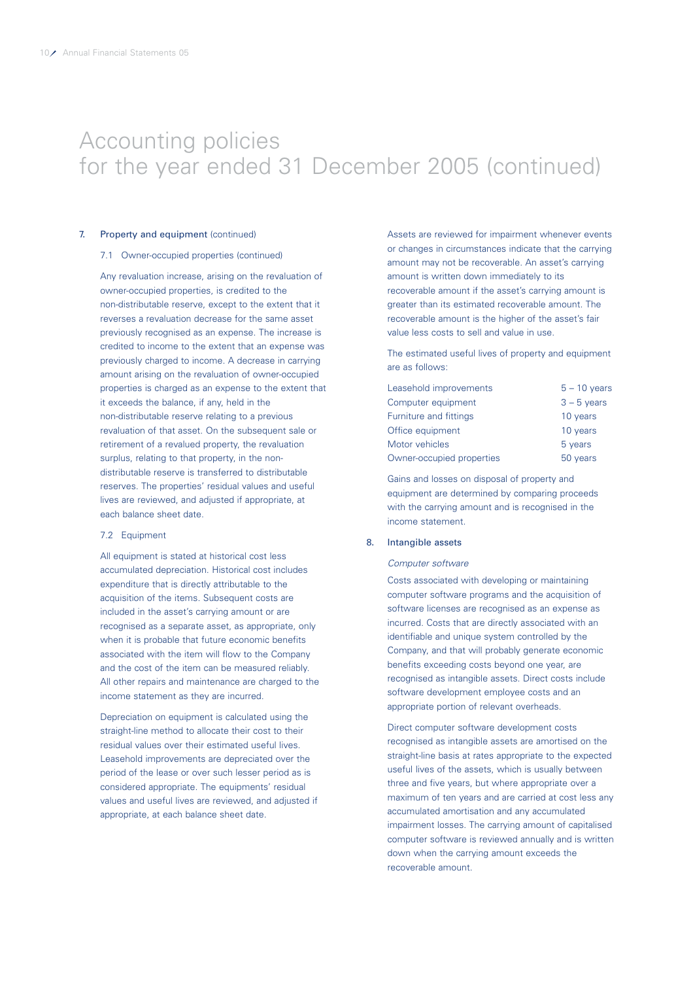### 7. Property and equipment (continued)

#### 7.1 Owner-occupied properties (continued)

Any revaluation increase, arising on the revaluation of owner-occupied properties, is credited to the non-distributable reserve, except to the extent that it reverses a revaluation decrease for the same asset previously recognised as an expense. The increase is credited to income to the extent that an expense was previously charged to income. A decrease in carrying amount arising on the revaluation of owner-occupied properties is charged as an expense to the extent that it exceeds the balance, if any, held in the non-distributable reserve relating to a previous revaluation of that asset. On the subsequent sale or retirement of a revalued property, the revaluation surplus, relating to that property, in the nondistributable reserve is transferred to distributable reserves. The properties' residual values and useful lives are reviewed, and adjusted if appropriate, at each balance sheet date.

#### 7.2 Equipment

All equipment is stated at historical cost less accumulated depreciation. Historical cost includes expenditure that is directly attributable to the acquisition of the items. Subsequent costs are included in the asset's carrying amount or are recognised as a separate asset, as appropriate, only when it is probable that future economic benefits associated with the item will flow to the Company and the cost of the item can be measured reliably. All other repairs and maintenance are charged to the income statement as they are incurred.

Depreciation on equipment is calculated using the straight-line method to allocate their cost to their residual values over their estimated useful lives. Leasehold improvements are depreciated over the period of the lease or over such lesser period as is considered appropriate. The equipments' residual values and useful lives are reviewed, and adjusted if appropriate, at each balance sheet date.

Assets are reviewed for impairment whenever events or changes in circumstances indicate that the carrying amount may not be recoverable. An asset's carrying amount is written down immediately to its recoverable amount if the asset's carrying amount is greater than its estimated recoverable amount. The recoverable amount is the higher of the asset's fair value less costs to sell and value in use.

The estimated useful lives of property and equipment are as follows:

| Leasehold improvements    | $5 - 10$ years |
|---------------------------|----------------|
| Computer equipment        | $3 - 5$ years  |
| Furniture and fittings    | 10 years       |
| Office equipment          | 10 years       |
| Motor vehicles            | 5 years        |
| Owner-occupied properties | 50 years       |

Gains and losses on disposal of property and equipment are determined by comparing proceeds with the carrying amount and is recognised in the income statement.

#### 8. Intangible assets

#### Computer software

Costs associated with developing or maintaining computer software programs and the acquisition of software licenses are recognised as an expense as incurred. Costs that are directly associated with an identifiable and unique system controlled by the Company, and that will probably generate economic benefits exceeding costs beyond one year, are recognised as intangible assets. Direct costs include software development employee costs and an appropriate portion of relevant overheads.

Direct computer software development costs recognised as intangible assets are amortised on the straight-line basis at rates appropriate to the expected useful lives of the assets, which is usually between three and five years, but where appropriate over a maximum of ten years and are carried at cost less any accumulated amortisation and any accumulated impairment losses. The carrying amount of capitalised computer software is reviewed annually and is written down when the carrying amount exceeds the recoverable amount.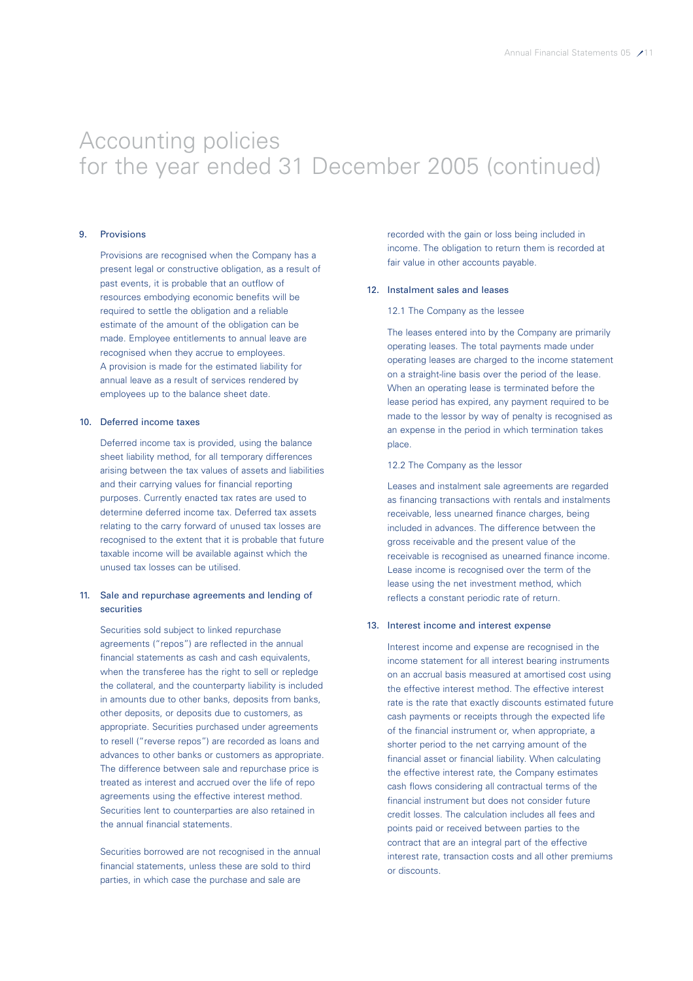### 9. Provisions

Provisions are recognised when the Company has a present legal or constructive obligation, as a result of past events, it is probable that an outflow of resources embodying economic benefits will be required to settle the obligation and a reliable estimate of the amount of the obligation can be made. Employee entitlements to annual leave are recognised when they accrue to employees. A provision is made for the estimated liability for annual leave as a result of services rendered by employees up to the balance sheet date.

#### 10. Deferred income taxes

Deferred income tax is provided, using the balance sheet liability method, for all temporary differences arising between the tax values of assets and liabilities and their carrying values for financial reporting purposes. Currently enacted tax rates are used to determine deferred income tax. Deferred tax assets relating to the carry forward of unused tax losses are recognised to the extent that it is probable that future taxable income will be available against which the unused tax losses can be utilised.

# 11. Sale and repurchase agreements and lending of securities

Securities sold subject to linked repurchase agreements ("repos") are reflected in the annual financial statements as cash and cash equivalents, when the transferee has the right to sell or repledge the collateral, and the counterparty liability is included in amounts due to other banks, deposits from banks, other deposits, or deposits due to customers, as appropriate. Securities purchased under agreements to resell ("reverse repos") are recorded as loans and advances to other banks or customers as appropriate. The difference between sale and repurchase price is treated as interest and accrued over the life of repo agreements using the effective interest method. Securities lent to counterparties are also retained in the annual financial statements.

Securities borrowed are not recognised in the annual financial statements, unless these are sold to third parties, in which case the purchase and sale are

recorded with the gain or loss being included in income. The obligation to return them is recorded at fair value in other accounts payable.

#### 12. Instalment sales and leases

#### 12.1 The Company as the lessee

The leases entered into by the Company are primarily operating leases. The total payments made under operating leases are charged to the income statement on a straight-line basis over the period of the lease. When an operating lease is terminated before the lease period has expired, any payment required to be made to the lessor by way of penalty is recognised as an expense in the period in which termination takes place.

### 12.2 The Company as the lessor

Leases and instalment sale agreements are regarded as financing transactions with rentals and instalments receivable, less unearned finance charges, being included in advances. The difference between the gross receivable and the present value of the receivable is recognised as unearned finance income. Lease income is recognised over the term of the lease using the net investment method, which reflects a constant periodic rate of return.

#### 13. Interest income and interest expense

Interest income and expense are recognised in the income statement for all interest bearing instruments on an accrual basis measured at amortised cost using the effective interest method. The effective interest rate is the rate that exactly discounts estimated future cash payments or receipts through the expected life of the financial instrument or, when appropriate, a shorter period to the net carrying amount of the financial asset or financial liability. When calculating the effective interest rate, the Company estimates cash flows considering all contractual terms of the financial instrument but does not consider future credit losses. The calculation includes all fees and points paid or received between parties to the contract that are an integral part of the effective interest rate, transaction costs and all other premiums or discounts.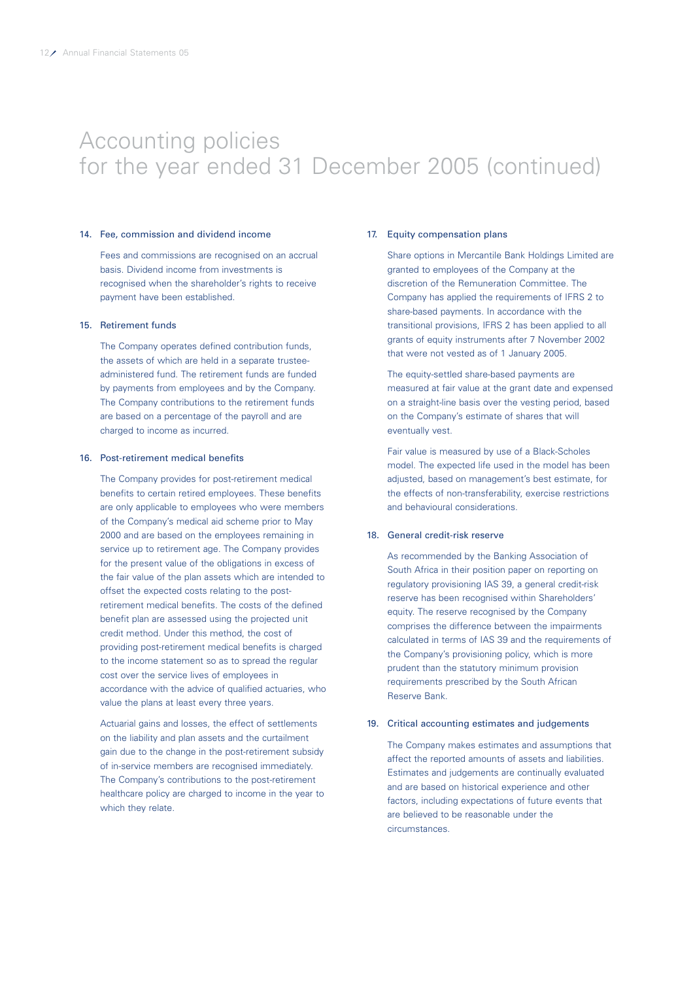### 14. Fee, commission and dividend income

Fees and commissions are recognised on an accrual basis. Dividend income from investments is recognised when the shareholder's rights to receive payment have been established.

# 15. Retirement funds

The Company operates defined contribution funds, the assets of which are held in a separate trusteeadministered fund. The retirement funds are funded by payments from employees and by the Company. The Company contributions to the retirement funds are based on a percentage of the payroll and are charged to income as incurred.

#### 16. Post-retirement medical benefits

The Company provides for post-retirement medical benefits to certain retired employees. These benefits are only applicable to employees who were members of the Company's medical aid scheme prior to May 2000 and are based on the employees remaining in service up to retirement age. The Company provides for the present value of the obligations in excess of the fair value of the plan assets which are intended to offset the expected costs relating to the postretirement medical benefits. The costs of the defined benefit plan are assessed using the projected unit credit method. Under this method, the cost of providing post-retirement medical benefits is charged to the income statement so as to spread the regular cost over the service lives of employees in accordance with the advice of qualified actuaries, who value the plans at least every three years.

Actuarial gains and losses, the effect of settlements on the liability and plan assets and the curtailment gain due to the change in the post-retirement subsidy of in-service members are recognised immediately. The Company's contributions to the post-retirement healthcare policy are charged to income in the year to which they relate.

#### 17. Equity compensation plans

Share options in Mercantile Bank Holdings Limited are granted to employees of the Company at the discretion of the Remuneration Committee. The Company has applied the requirements of IFRS 2 to share-based payments. In accordance with the transitional provisions, IFRS 2 has been applied to all grants of equity instruments after 7 November 2002 that were not vested as of 1 January 2005.

The equity-settled share-based payments are measured at fair value at the grant date and expensed on a straight-line basis over the vesting period, based on the Company's estimate of shares that will eventually vest.

Fair value is measured by use of a Black-Scholes model. The expected life used in the model has been adjusted, based on management's best estimate, for the effects of non-transferability, exercise restrictions and behavioural considerations.

### 18. General credit-risk reserve

As recommended by the Banking Association of South Africa in their position paper on reporting on regulatory provisioning IAS 39, a general credit-risk reserve has been recognised within Shareholders' equity. The reserve recognised by the Company comprises the difference between the impairments calculated in terms of IAS 39 and the requirements of the Company's provisioning policy, which is more prudent than the statutory minimum provision requirements prescribed by the South African Reserve Bank.

#### 19. Critical accounting estimates and judgements

The Company makes estimates and assumptions that affect the reported amounts of assets and liabilities. Estimates and judgements are continually evaluated and are based on historical experience and other factors, including expectations of future events that are believed to be reasonable under the circumstances.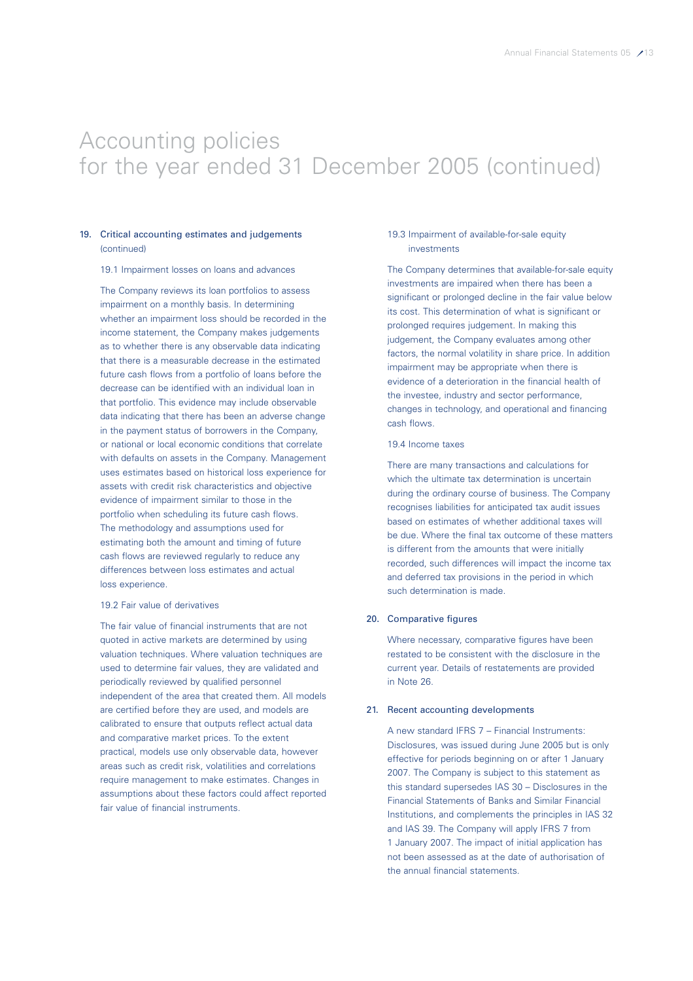# 19. Critical accounting estimates and judgements (continued)

#### 19.1 Impairment losses on loans and advances

The Company reviews its loan portfolios to assess impairment on a monthly basis. In determining whether an impairment loss should be recorded in the income statement, the Company makes judgements as to whether there is any observable data indicating that there is a measurable decrease in the estimated future cash flows from a portfolio of loans before the decrease can be identified with an individual loan in that portfolio. This evidence may include observable data indicating that there has been an adverse change in the payment status of borrowers in the Company, or national or local economic conditions that correlate with defaults on assets in the Company. Management uses estimates based on historical loss experience for assets with credit risk characteristics and objective evidence of impairment similar to those in the portfolio when scheduling its future cash flows. The methodology and assumptions used for estimating both the amount and timing of future cash flows are reviewed regularly to reduce any differences between loss estimates and actual loss experience.

#### 19.2 Fair value of derivatives

The fair value of financial instruments that are not quoted in active markets are determined by using valuation techniques. Where valuation techniques are used to determine fair values, they are validated and periodically reviewed by qualified personnel independent of the area that created them. All models are certified before they are used, and models are calibrated to ensure that outputs reflect actual data and comparative market prices. To the extent practical, models use only observable data, however areas such as credit risk, volatilities and correlations require management to make estimates. Changes in assumptions about these factors could affect reported fair value of financial instruments.

#### 19.3 Impairment of available-for-sale equity investments

The Company determines that available-for-sale equity investments are impaired when there has been a significant or prolonged decline in the fair value below its cost. This determination of what is significant or prolonged requires judgement. In making this judgement, the Company evaluates among other factors, the normal volatility in share price. In addition impairment may be appropriate when there is evidence of a deterioration in the financial health of the investee, industry and sector performance, changes in technology, and operational and financing cash flows.

#### 19.4 Income taxes

There are many transactions and calculations for which the ultimate tax determination is uncertain during the ordinary course of business. The Company recognises liabilities for anticipated tax audit issues based on estimates of whether additional taxes will be due. Where the final tax outcome of these matters is different from the amounts that were initially recorded, such differences will impact the income tax and deferred tax provisions in the period in which such determination is made.

# 20. Comparative figures

Where necessary, comparative figures have been restated to be consistent with the disclosure in the current year. Details of restatements are provided in Note 26.

#### 21. Recent accounting developments

A new standard IFRS 7 – Financial Instruments: Disclosures, was issued during June 2005 but is only effective for periods beginning on or after 1 January 2007. The Company is subject to this statement as this standard supersedes IAS 30 – Disclosures in the Financial Statements of Banks and Similar Financial Institutions, and complements the principles in IAS 32 and IAS 39. The Company will apply IFRS 7 from 1 January 2007. The impact of initial application has not been assessed as at the date of authorisation of the annual financial statements.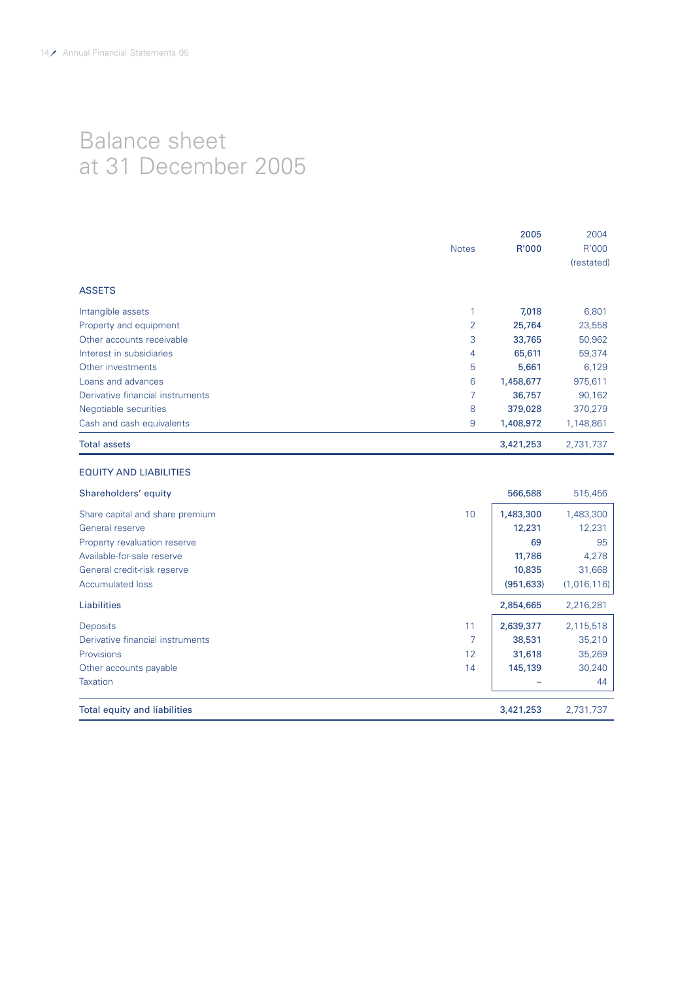# Balance sheet at 31 December 2005

|                                  | <b>Notes</b>   | 2005<br>R'000 | 2004<br>R'000<br>(restated) |
|----------------------------------|----------------|---------------|-----------------------------|
| <b>ASSETS</b>                    |                |               |                             |
| Intangible assets                |                | 7,018         | 6,801                       |
| Property and equipment           | $\overline{2}$ | 25,764        | 23,558                      |
| Other accounts receivable        | 3              | 33,765        | 50,962                      |
| Interest in subsidiaries         | 4              | 65,611        | 59,374                      |
| Other investments                | 5              | 5,661         | 6,129                       |
| Loans and advances               | 6              | 1,458,677     | 975,611                     |
| Derivative financial instruments | 7              | 36,757        | 90,162                      |
| Negotiable securities            | 8              | 379,028       | 370,279                     |
| Cash and cash equivalents        | 9              | 1,408,972     | 1,148,861                   |
| <b>Total assets</b>              |                | 3,421,253     | 2,731,737                   |

# EQUITY AND LIABILITIES

| Shareholders' equity             |    | 566,588    | 515,456     |
|----------------------------------|----|------------|-------------|
| Share capital and share premium  | 10 | 1,483,300  | 1,483,300   |
| General reserve                  |    | 12,231     | 12,231      |
| Property revaluation reserve     |    | 69         | 95          |
| Available-for-sale reserve       |    | 11,786     | 4,278       |
| General credit-risk reserve      |    | 10,835     | 31,668      |
| <b>Accumulated loss</b>          |    | (951, 633) | (1,016,116) |
| Liabilities                      |    | 2,854,665  | 2,216,281   |
| <b>Deposits</b>                  | 11 | 2,639,377  | 2,115,518   |
| Derivative financial instruments |    | 38,531     | 35,210      |
| Provisions                       | 12 | 31,618     | 35,269      |
| Other accounts payable           | 14 | 145,139    | 30,240      |
| Taxation                         |    |            | 44          |
| Total equity and liabilities     |    | 3,421,253  | 2,731,737   |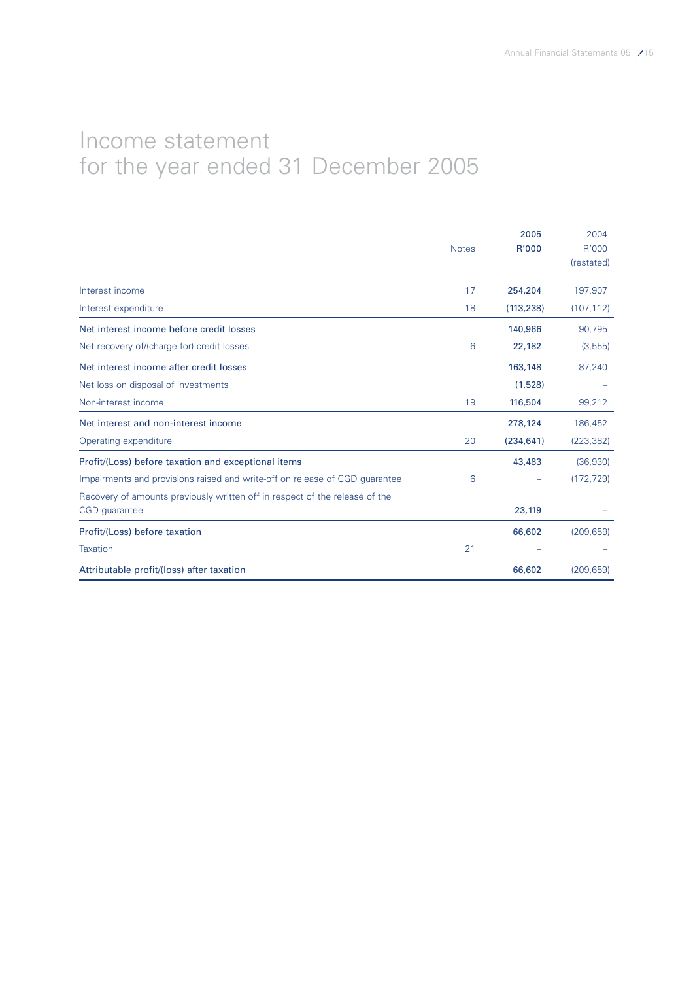# Income statement for the year ended 31 December 2005

|                                                                             | <b>Notes</b> | 2005<br>R'000 | 2004<br>R'000 |
|-----------------------------------------------------------------------------|--------------|---------------|---------------|
|                                                                             |              |               | (restated)    |
| Interest income                                                             | 17           | 254,204       | 197,907       |
| Interest expenditure                                                        | 18           | (113, 238)    | (107, 112)    |
| Net interest income before credit losses                                    |              | 140,966       | 90,795        |
| Net recovery of/(charge for) credit losses                                  | 6            | 22,182        | (3, 555)      |
| Net interest income after credit losses                                     |              | 163,148       | 87,240        |
| Net loss on disposal of investments                                         |              | (1,528)       |               |
| Non-interest income                                                         | 19           | 116,504       | 99,212        |
| Net interest and non-interest income                                        |              | 278,124       | 186,452       |
| Operating expenditure                                                       | 20           | (234, 641)    | (223, 382)    |
| Profit/(Loss) before taxation and exceptional items                         |              | 43,483        | (36,930)      |
| Impairments and provisions raised and write-off on release of CGD quarantee | 6            |               | (172, 729)    |
| Recovery of amounts previously written off in respect of the release of the |              | 23,119        |               |
| CGD guarantee                                                               |              |               |               |
| Profit/(Loss) before taxation                                               |              | 66,602        | (209, 659)    |
| <b>Taxation</b>                                                             | 21           |               |               |
| Attributable profit/(loss) after taxation                                   |              | 66,602        | (209, 659)    |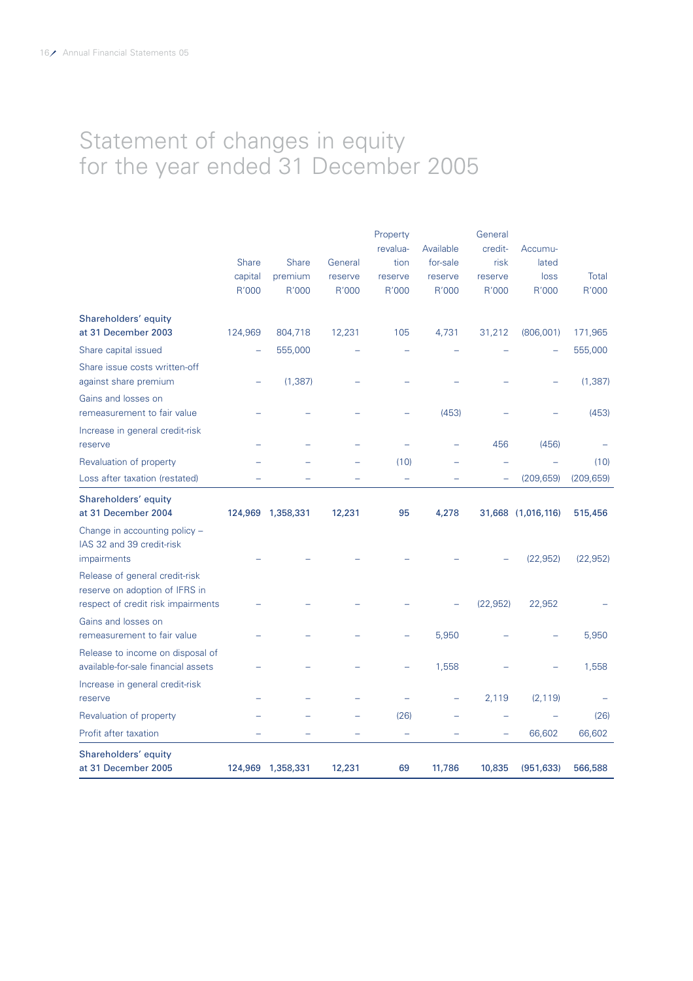# Statement of changes in equity for the year ended 31 December 2005

|                                     |                  |                   |                  | Property         |                  | General          |                    |                |
|-------------------------------------|------------------|-------------------|------------------|------------------|------------------|------------------|--------------------|----------------|
|                                     |                  |                   |                  | revalua-         | Available        | credit-          | Accumu-            |                |
|                                     | <b>Share</b>     | <b>Share</b>      | General          | tion             | for-sale         | risk             | lated              |                |
|                                     | capital<br>R'000 | premium<br>R'000  | reserve<br>R'000 | reserve<br>R'000 | reserve<br>R'000 | reserve<br>R'000 | loss<br>R'000      | Total<br>R'000 |
|                                     |                  |                   |                  |                  |                  |                  |                    |                |
| Shareholders' equity                |                  |                   |                  |                  |                  |                  |                    |                |
| at 31 December 2003                 | 124,969          | 804,718           | 12,231           | 105              | 4,731            | 31,212           | (806, 001)         | 171,965        |
| Share capital issued                |                  | 555,000           |                  |                  |                  |                  |                    | 555,000        |
| Share issue costs written-off       |                  |                   |                  |                  |                  |                  |                    |                |
| against share premium               |                  | (1, 387)          |                  |                  |                  |                  |                    | (1, 387)       |
| Gains and losses on                 |                  |                   |                  |                  |                  |                  |                    |                |
| remeasurement to fair value         |                  |                   |                  |                  | (453)            |                  |                    | (453)          |
| Increase in general credit-risk     |                  |                   |                  |                  |                  |                  |                    |                |
| reserve                             |                  |                   |                  |                  |                  | 456              | (456)              |                |
| Revaluation of property             |                  |                   |                  | (10)             |                  |                  |                    | (10)           |
| Loss after taxation (restated)      |                  |                   |                  |                  |                  |                  | (209, 659)         | (209, 659)     |
| Shareholders' equity                |                  |                   |                  |                  |                  |                  |                    |                |
| at 31 December 2004                 |                  | 124,969 1,358,331 | 12,231           | 95               | 4,278            |                  | 31,668 (1,016,116) | 515,456        |
| Change in accounting policy -       |                  |                   |                  |                  |                  |                  |                    |                |
| IAS 32 and 39 credit-risk           |                  |                   |                  |                  |                  |                  |                    |                |
| impairments                         |                  |                   |                  |                  |                  |                  | (22, 952)          | (22, 952)      |
| Release of general credit-risk      |                  |                   |                  |                  |                  |                  |                    |                |
| reserve on adoption of IFRS in      |                  |                   |                  |                  |                  |                  |                    |                |
| respect of credit risk impairments  |                  |                   |                  |                  |                  | (22, 952)        | 22,952             |                |
| Gains and losses on                 |                  |                   |                  |                  |                  |                  |                    |                |
| remeasurement to fair value         |                  |                   |                  |                  | 5,950            |                  |                    | 5,950          |
| Release to income on disposal of    |                  |                   |                  |                  |                  |                  |                    |                |
| available-for-sale financial assets |                  |                   |                  |                  | 1,558            |                  |                    | 1,558          |
| Increase in general credit-risk     |                  |                   |                  |                  |                  |                  |                    |                |
| reserve                             |                  |                   |                  |                  |                  | 2,119            | (2, 119)           |                |
| Revaluation of property             |                  |                   |                  | (26)             |                  |                  |                    | (26)           |
| Profit after taxation               |                  |                   |                  |                  |                  |                  | 66,602             | 66,602         |
| Shareholders' equity                |                  |                   |                  |                  |                  |                  |                    |                |
| at 31 December 2005                 | 124,969          | 1,358,331         | 12,231           | 69               | 11,786           | 10,835           | (951, 633)         | 566,588        |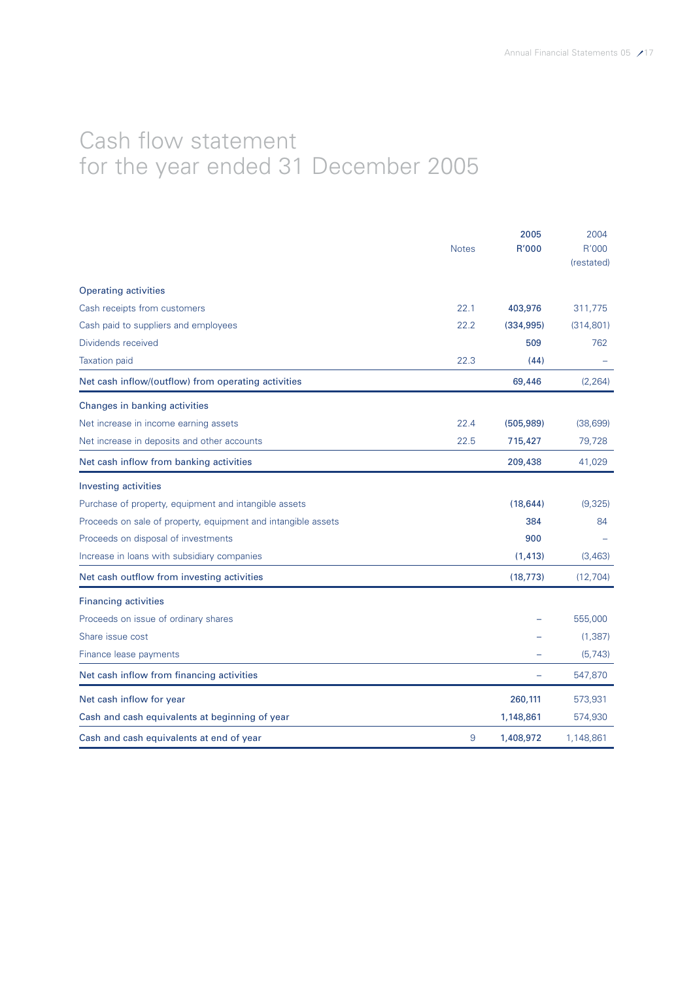# Cash flow statement for the year ended 31 December 2005

|                                                               |              | 2005         | 2004       |
|---------------------------------------------------------------|--------------|--------------|------------|
|                                                               | <b>Notes</b> | <b>R'000</b> | R'000      |
|                                                               |              |              | (restated) |
| <b>Operating activities</b>                                   |              |              |            |
| Cash receipts from customers                                  | 22.1         | 403,976      | 311,775    |
| Cash paid to suppliers and employees                          | 22.2         | (334, 995)   | (314, 801) |
| Dividends received                                            |              | 509          | 762        |
| <b>Taxation paid</b>                                          | 22.3         | (44)         |            |
| Net cash inflow/(outflow) from operating activities           |              | 69,446       | (2, 264)   |
| Changes in banking activities                                 |              |              |            |
| Net increase in income earning assets                         | 22.4         | (505, 989)   | (38,699)   |
| Net increase in deposits and other accounts                   | 22.5         | 715,427      | 79,728     |
| Net cash inflow from banking activities                       |              | 209,438      | 41,029     |
| <b>Investing activities</b>                                   |              |              |            |
| Purchase of property, equipment and intangible assets         |              | (18, 644)    | (9,325)    |
| Proceeds on sale of property, equipment and intangible assets |              | 384          | 84         |
| Proceeds on disposal of investments                           |              | 900          |            |
| Increase in loans with subsidiary companies                   |              | (1, 413)     | (3, 463)   |
| Net cash outflow from investing activities                    |              | (18, 773)    | (12, 704)  |
| <b>Financing activities</b>                                   |              |              |            |
| Proceeds on issue of ordinary shares                          |              |              | 555,000    |
| Share issue cost                                              |              |              | (1, 387)   |
| Finance lease payments                                        |              |              | (5, 743)   |
| Net cash inflow from financing activities                     |              |              | 547,870    |
| Net cash inflow for year                                      |              | 260,111      | 573,931    |
| Cash and cash equivalents at beginning of year                |              | 1,148,861    | 574,930    |
| Cash and cash equivalents at end of year                      | 9            | 1,408,972    | 1,148,861  |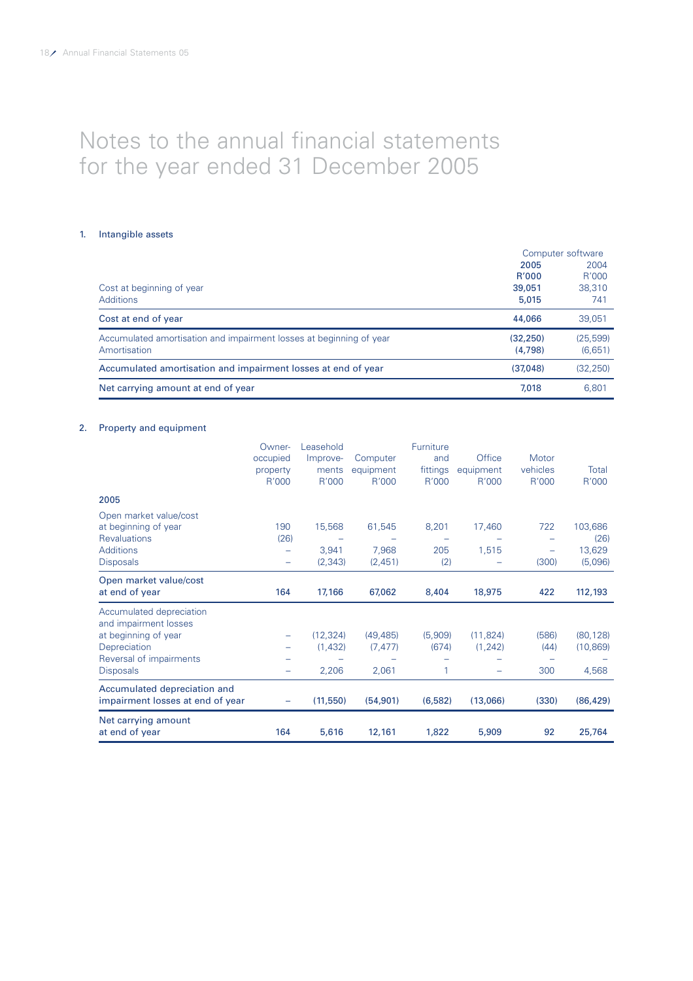# Notes to the annual financial statements for the year ended 31 December 2005

### 1. Intangible assets

|                                                                     |              | Computer software |
|---------------------------------------------------------------------|--------------|-------------------|
|                                                                     | 2005         | 2004              |
|                                                                     | <b>R'000</b> | R'000             |
| Cost at beginning of year                                           | 39,051       | 38,310            |
| <b>Additions</b>                                                    | 5,015        | 741               |
| Cost at end of year                                                 | 44,066       | 39.051            |
| Accumulated amortisation and impairment losses at beginning of year | (32, 250)    | (25, 599)         |
| Amortisation                                                        | (4.798)      | (6,651)           |
| Accumulated amortisation and impairment losses at end of year       | (37,048)     | (32, 250)         |
| Net carrying amount at end of year                                  | 7,018        | 6.801             |

# 2. Property and equipment

|                                  | Owner-                   | Leasehold |           | Furniture |           |          |           |
|----------------------------------|--------------------------|-----------|-----------|-----------|-----------|----------|-----------|
|                                  | occupied                 | Improve-  | Computer  | and       | Office    | Motor    |           |
|                                  | property                 | ments     | equipment | fittings  | equipment | vehicles | Total     |
|                                  | R'000                    | R'000     | R'000     | R'000     | R'000     | R'000    | R'000     |
| 2005                             |                          |           |           |           |           |          |           |
| Open market value/cost           |                          |           |           |           |           |          |           |
| at beginning of year             | 190                      | 15,568    | 61,545    | 8,201     | 17,460    | 722      | 103,686   |
| <b>Revaluations</b>              | (26)                     |           |           |           |           |          | (26)      |
| <b>Additions</b>                 | $\overline{\phantom{0}}$ | 3,941     | 7,968     | 205       | 1,515     |          | 13,629    |
| <b>Disposals</b>                 | $\overline{\phantom{m}}$ | (2, 343)  | (2,451)   | (2)       |           | (300)    | (5,096)   |
| Open market value/cost           |                          |           |           |           |           |          |           |
| at end of year                   | 164                      | 17,166    | 67,062    | 8,404     | 18,975    | 422      | 112,193   |
| Accumulated depreciation         |                          |           |           |           |           |          |           |
| and impairment losses            |                          |           |           |           |           |          |           |
| at beginning of year             |                          | (12, 324) | (49, 485) | (5,909)   | (11, 824) | (586)    | (80, 128) |
| Depreciation                     |                          | (1,432)   | (7, 477)  | (674)     | (1, 242)  | (44)     | (10, 869) |
| Reversal of impairments          |                          |           |           |           |           |          |           |
| <b>Disposals</b>                 |                          | 2,206     | 2,061     | 1         |           | 300      | 4,568     |
| Accumulated depreciation and     |                          |           |           |           |           |          |           |
| impairment losses at end of year |                          | (11, 550) | (54, 901) | (6, 582)  | (13,066)  | (330)    | (86, 429) |
| Net carrying amount              |                          |           |           |           |           |          |           |
| at end of year                   | 164                      | 5,616     | 12,161    | 1,822     | 5,909     | 92       | 25,764    |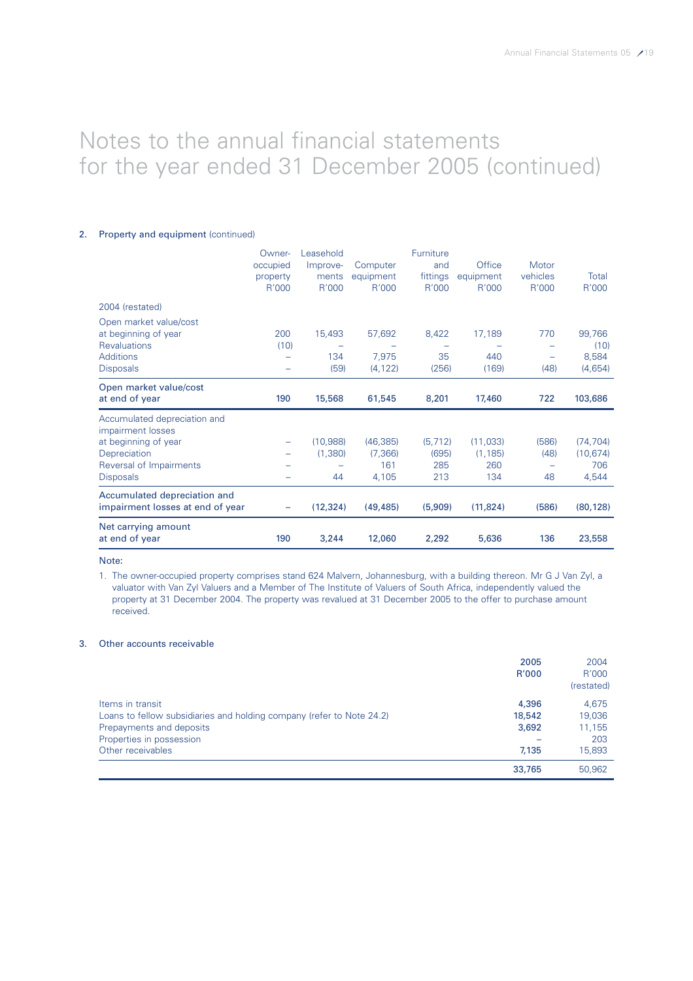# 2. Property and equipment (continued)

| Net carrying amount<br>at end of year                                     | 190                      | 3,244     | 12,060    | 2,292     | 5,636     | 136      | 23,558    |
|---------------------------------------------------------------------------|--------------------------|-----------|-----------|-----------|-----------|----------|-----------|
| Accumulated depreciation and<br>impairment losses at end of year          |                          | (12, 324) | (49, 485) | (5,909)   | (11, 824) | (586)    | (80, 128) |
| <b>Disposals</b>                                                          |                          | 44        | 4,105     | 213       | 134       | 48       | 4,544     |
| Reversal of Impairments                                                   |                          |           | 161       | 285       | 260       |          | 706       |
| Depreciation                                                              | $\overline{\phantom{0}}$ | (1,380)   | (7,366)   | (695)     | (1, 185)  | (48)     | (10, 674) |
| Accumulated depreciation and<br>impairment losses<br>at beginning of year |                          | (10,988)  | (46, 385) | (5, 712)  | (11,033)  | (586)    | (74, 704) |
| Open market value/cost<br>at end of year                                  | 190                      | 15,568    | 61,545    | 8,201     | 17,460    | 722      | 103,686   |
| <b>Disposals</b>                                                          | -                        | (59)      | (4, 122)  | (256)     | (169)     | (48)     | (4,654)   |
| <b>Additions</b>                                                          |                          | 134       | 7,975     | 35        | 440       |          | 8,584     |
| <b>Revaluations</b>                                                       | (10)                     |           |           |           |           |          | (10)      |
| Open market value/cost<br>at beginning of year                            | 200                      | 15,493    | 57,692    | 8,422     | 17,189    | 770      | 99,766    |
| 2004 (restated)                                                           |                          |           |           |           |           |          |           |
|                                                                           | R'000                    | R'000     | R'000     | R'000     | R'000     | R'000    | R'000     |
|                                                                           | property                 | ments     | equipment | fittings  | equipment | vehicles | Total     |
|                                                                           | occupied                 | Improve-  | Computer  | and       | Office    | Motor    |           |
|                                                                           | Owner-                   | Leasehold |           | Furniture |           |          |           |

#### Note:

1. The owner-occupied property comprises stand 624 Malvern, Johannesburg, with a building thereon. Mr G J Van Zyl, a valuator with Van Zyl Valuers and a Member of The Institute of Valuers of South Africa, independently valued the property at 31 December 2004. The property was revalued at 31 December 2005 to the offer to purchase amount received.

### 3. Other accounts receivable

|                                                                       | 2005<br>R'000 | 2004<br>R'000<br>(restated) |
|-----------------------------------------------------------------------|---------------|-----------------------------|
| Items in transit                                                      | 4,396         | 4.675                       |
| Loans to fellow subsidiaries and holding company (refer to Note 24.2) | 18,542        | 19,036                      |
| Prepayments and deposits                                              | 3,692         | 11,155                      |
| Properties in possession                                              |               | 203                         |
| Other receivables                                                     | 7.135         | 15,893                      |
|                                                                       | 33,765        | 50,962                      |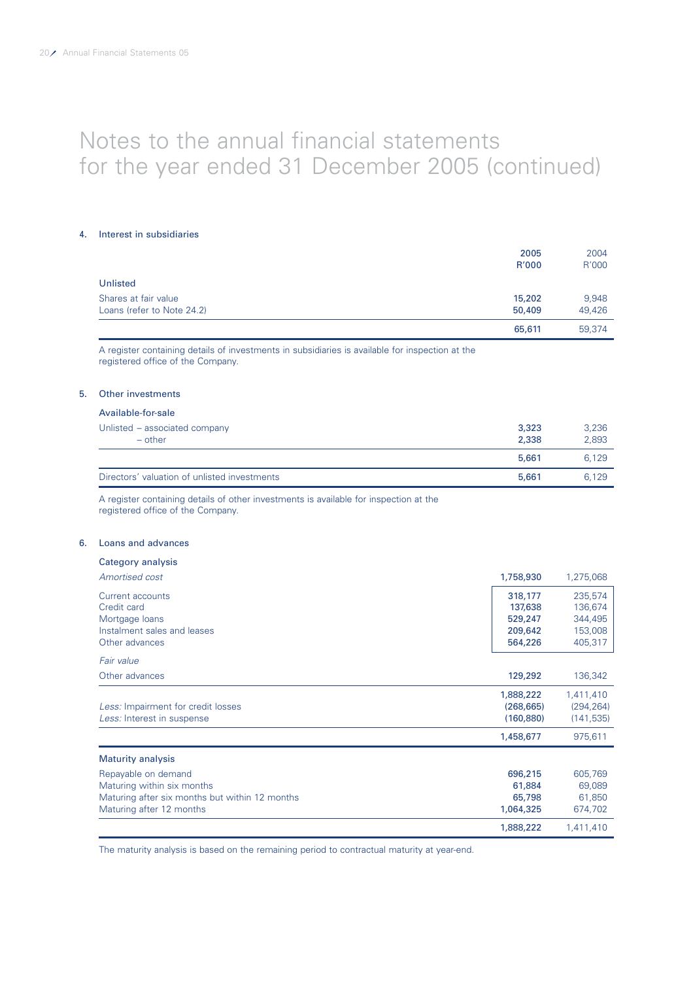#### 4. Interest in subsidiaries

|                            | 2005<br>R'000 | 2004<br>R'000 |
|----------------------------|---------------|---------------|
| Unlisted                   |               |               |
| Shares at fair value       | 15,202        | 9,948         |
| Loans (refer to Note 24.2) | 50,409        | 49,426        |
|                            | 65,611        | 59.374        |

A register containing details of investments in subsidiaries is available for inspection at the registered office of the Company.

### 5. Other investments

### Available-for-sale

| Unlisted – associated company<br>$-$ other   | 3,323<br>2,338 | 3,236<br>2,893 |
|----------------------------------------------|----------------|----------------|
|                                              | 5,661          | 6.129          |
| Directors' valuation of unlisted investments | 5,661          | 6.129          |

A register containing details of other investments is available for inspection at the registered office of the Company.

# 6. Loans and advances

| Category analysis                              |            |            |
|------------------------------------------------|------------|------------|
| Amortised cost                                 | 1,758,930  | 1,275,068  |
| Current accounts                               | 318,177    | 235,574    |
| Credit card                                    | 137,638    | 136,674    |
| Mortgage loans                                 | 529,247    | 344,495    |
| Instalment sales and leases                    | 209,642    | 153,008    |
| Other advances                                 | 564,226    | 405,317    |
| Fair value                                     |            |            |
| Other advances                                 | 129,292    | 136,342    |
|                                                | 1,888,222  | 1,411,410  |
| Less: Impairment for credit losses             | (268, 665) | (294, 264) |
| Less: Interest in suspense                     | (160, 880) | (141, 535) |
|                                                | 1,458,677  | 975,611    |
| <b>Maturity analysis</b>                       |            |            |
| Repayable on demand                            | 696,215    | 605,769    |
| Maturing within six months                     | 61,884     | 69,089     |
| Maturing after six months but within 12 months | 65,798     | 61,850     |
| Maturing after 12 months                       | 1,064,325  | 674,702    |
|                                                | 1,888,222  | 1,411,410  |

The maturity analysis is based on the remaining period to contractual maturity at year-end.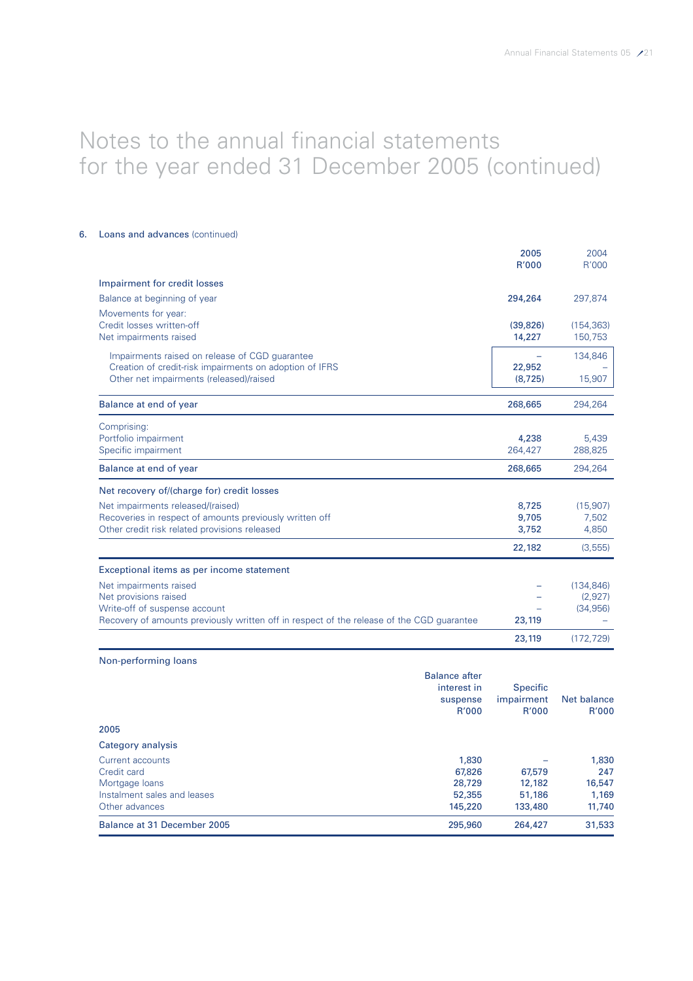# 6. Loans and advances (continued)

|                                                                                           | 2005<br>R'000 | 2004<br>R'000 |
|-------------------------------------------------------------------------------------------|---------------|---------------|
| Impairment for credit losses                                                              |               |               |
| Balance at beginning of year                                                              | 294,264       | 297,874       |
| Movements for year:                                                                       |               |               |
| Credit losses written-off                                                                 | (39, 826)     | (154, 363)    |
| Net impairments raised                                                                    | 14,227        | 150,753       |
| Impairments raised on release of CGD guarantee                                            |               | 134,846       |
| Creation of credit-risk impairments on adoption of IFRS                                   | 22,952        |               |
| Other net impairments (released)/raised                                                   | (8, 725)      | 15,907        |
| Balance at end of year                                                                    | 268,665       | 294,264       |
| Comprising:                                                                               |               |               |
| Portfolio impairment                                                                      | 4,238         | 5,439         |
| Specific impairment                                                                       | 264,427       | 288,825       |
| Balance at end of year                                                                    | 268,665       | 294,264       |
| Net recovery of/(charge for) credit losses                                                |               |               |
| Net impairments released/(raised)                                                         | 8,725         | (15,907)      |
| Recoveries in respect of amounts previously written off                                   | 9,705         | 7,502         |
| Other credit risk related provisions released                                             | 3,752         | 4,850         |
|                                                                                           | 22,182        | (3, 555)      |
| Exceptional items as per income statement                                                 |               |               |
| Net impairments raised                                                                    |               | (134, 846)    |
| Net provisions raised                                                                     |               | (2,927)       |
| Write-off of suspense account                                                             |               | (34, 956)     |
| Recovery of amounts previously written off in respect of the release of the CGD guarantee | 23,119        |               |
|                                                                                           | 23,119        | (172, 729)    |
| Non-performing loans                                                                      |               |               |
| Ralance after                                                                             |               |               |

| Balance at 31 December 2005 | 295,960              | 264,427         | 31,533      |
|-----------------------------|----------------------|-----------------|-------------|
| Other advances              | 145,220              | 133,480         | 11,740      |
| Instalment sales and leases | 52,355               | 51,186          | 1,169       |
| Mortgage loans              | 28,729               | 12,182          | 16,547      |
| Credit card                 | 67,826               | 67,579          | 247         |
| Current accounts            | 1,830                |                 | 1,830       |
| Category analysis           |                      |                 |             |
| 2005                        |                      |                 |             |
|                             | R'000                | R'000           | R'000       |
|                             | suspense             | impairment      | Net balance |
|                             | interest in          | <b>Specific</b> |             |
|                             | <b>Balance after</b> |                 |             |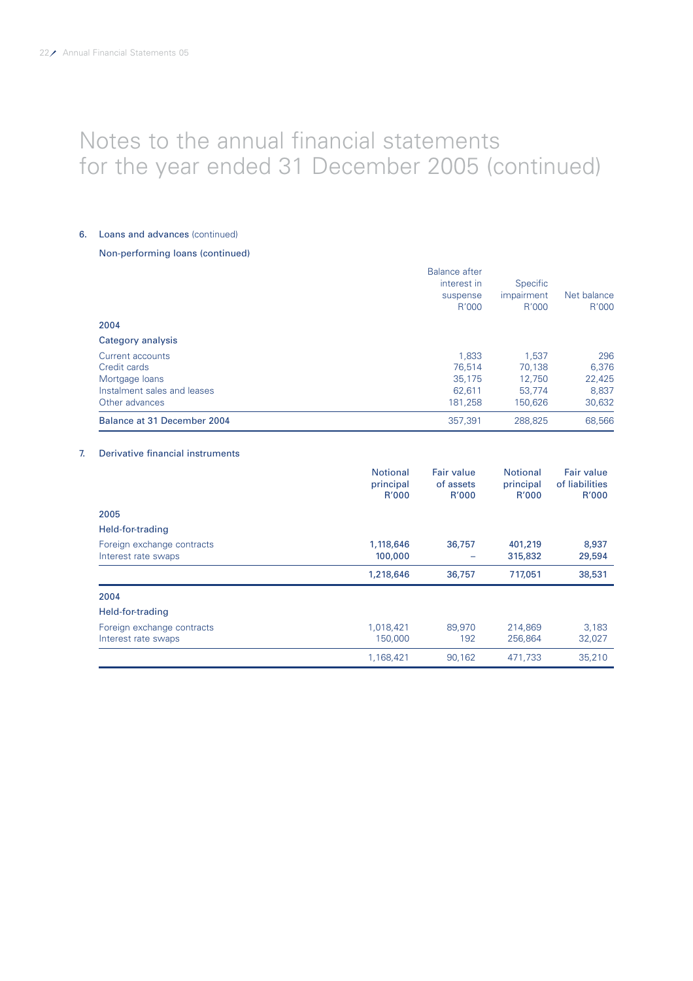### 6. Loans and advances (continued)

# Non-performing loans (continued)

| Balance at 31 December 2004 | 357.391              | 288.825    | 68,566      |
|-----------------------------|----------------------|------------|-------------|
| Other advances              | 181.258              | 150.626    | 30,632      |
| Instalment sales and leases | 62.611               | 53.774     | 8,837       |
| Mortgage loans              | 35.175               | 12.750     | 22,425      |
| Credit cards                | 76.514               | 70.138     | 6.376       |
| Current accounts            | 1.833                | 1.537      | 296         |
| Category analysis           |                      |            |             |
| 2004                        |                      |            |             |
|                             | R'000                | R'000      | R'000       |
|                             | suspense             | impairment | Net balance |
|                             | interest in          | Specific   |             |
|                             | <b>Balance after</b> |            |             |

# 7. Derivative financial instruments

|                            | <b>Notional</b><br>principal<br>R'000 | <b>Fair value</b><br>of assets<br>R'000 | <b>Notional</b><br>principal<br>R'000 | <b>Fair value</b><br>of liabilities<br>R'000 |
|----------------------------|---------------------------------------|-----------------------------------------|---------------------------------------|----------------------------------------------|
| 2005                       |                                       |                                         |                                       |                                              |
| Held-for-trading           |                                       |                                         |                                       |                                              |
| Foreign exchange contracts | 1,118,646                             | 36,757                                  | 401,219                               | 8,937                                        |
| Interest rate swaps        | 100,000                               |                                         | 315,832                               | 29,594                                       |
|                            | 1,218,646                             | 36,757                                  | 717,051                               | 38,531                                       |
| 2004                       |                                       |                                         |                                       |                                              |
| Held-for-trading           |                                       |                                         |                                       |                                              |
| Foreign exchange contracts | 1,018,421                             | 89,970                                  | 214.869                               | 3,183                                        |
| Interest rate swaps        | 150,000                               | 192                                     | 256,864                               | 32,027                                       |
|                            | 1,168,421                             | 90.162                                  | 471,733                               | 35,210                                       |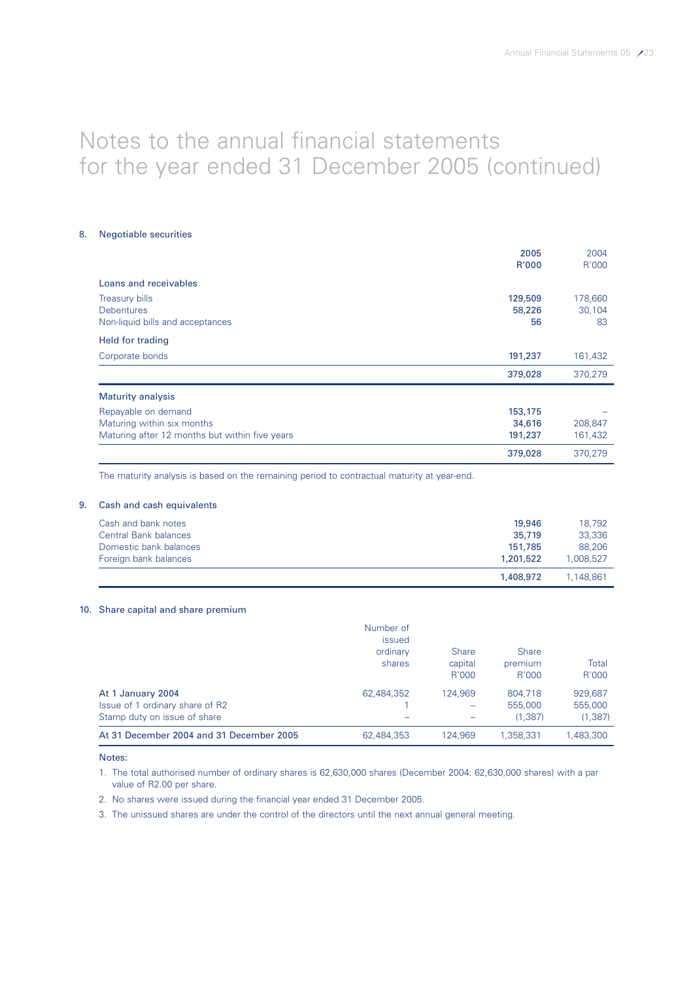### 8. Negotiable securities

|                                                | 2005    | 2004    |
|------------------------------------------------|---------|---------|
|                                                | R'000   | R'000   |
| Loans and receivables                          |         |         |
| <b>Treasury bills</b>                          | 129,509 | 178,660 |
| <b>Debentures</b>                              | 58,226  | 30,104  |
| Non-liquid bills and acceptances               | 56      | 83      |
| Held for trading                               |         |         |
| Corporate bonds                                | 191,237 | 161,432 |
|                                                | 379,028 | 370,279 |
| <b>Maturity analysis</b>                       |         |         |
| Repayable on demand                            | 153,175 |         |
| Maturing within six months                     | 34,616  | 208,847 |
| Maturing after 12 months but within five years | 191,237 | 161,432 |
|                                                | 379,028 | 370,279 |

The maturity analysis is based on the remaining period to contractual maturity at year-end.

# 9. Cash and cash equivalents

| Cash and bank notes          | 19,946    | 18.792    |
|------------------------------|-----------|-----------|
| <b>Central Bank balances</b> | 35,719    | 33,336    |
| Domestic bank balances       | 151,785   | 88,206    |
| Foreign bank balances        | 1.201.522 | 1.008.527 |
|                              | 1,408,972 | 1.148.861 |

# 10. Share capital and share premium

|                                          | Number of  |              |              |           |
|------------------------------------------|------------|--------------|--------------|-----------|
|                                          | issued     |              |              |           |
|                                          | ordinary   | <b>Share</b> | <b>Share</b> |           |
|                                          | shares     | capital      | premium      | Total     |
|                                          |            | R'000        | R'000        | R'000     |
| At 1 January 2004                        | 62.484.352 | 124.969      | 804.718      | 929.687   |
| Issue of 1 ordinary share of R2          |            |              | 555,000      | 555,000   |
| Stamp duty on issue of share             |            |              | (1,387)      | (1, 387)  |
| At 31 December 2004 and 31 December 2005 | 62,484,353 | 124.969      | 1.358.331    | 1.483.300 |

Notes:

- 1. The total authorised number of ordinary shares is 62,630,000 shares (December 2004: 62,630,000 shares) with a par value of R2.00 per share.
- 2. No shares were issued during the financial year ended 31 December 2005.
- 3. The unissued shares are under the control of the directors until the next annual general meeting.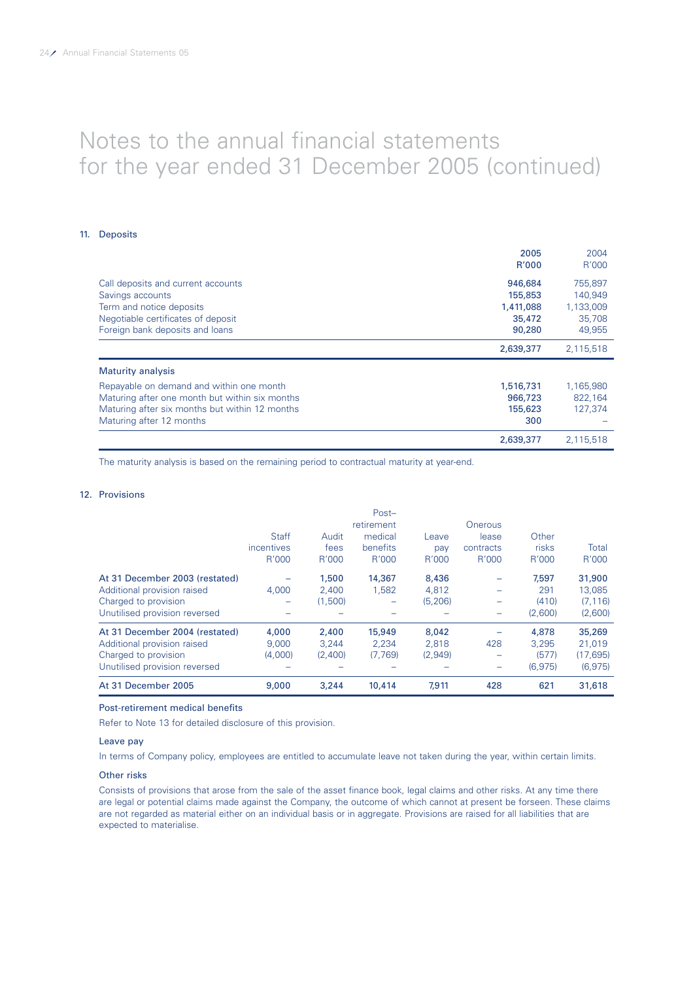### 11. Deposits

|                                                | 2005      | 2004      |
|------------------------------------------------|-----------|-----------|
|                                                | R'000     | R'000     |
| Call deposits and current accounts             | 946,684   | 755.897   |
| Savings accounts                               | 155,853   | 140,949   |
| Term and notice deposits                       | 1,411,088 | 1,133,009 |
| Negotiable certificates of deposit             | 35,472    | 35,708    |
| Foreign bank deposits and loans                | 90,280    | 49,955    |
|                                                | 2,639,377 | 2,115,518 |
| <b>Maturity analysis</b>                       |           |           |
| Repayable on demand and within one month       | 1,516,731 | 1,165,980 |
| Maturing after one month but within six months | 966,723   | 822,164   |
| Maturing after six months but within 12 months | 155,623   | 127,374   |
| Maturing after 12 months                       | 300       |           |
|                                                | 2,639,377 | 2.115.518 |

The maturity analysis is based on the remaining period to contractual maturity at year-end.

# 12. Provisions

| At 31 December 2005            | 9,000        | 3,244   | 10,414     | 7,911    | 428                      | 621     | 31,618    |
|--------------------------------|--------------|---------|------------|----------|--------------------------|---------|-----------|
| Unutilised provision reversed  |              |         |            |          | -                        | (6,975) | (6, 975)  |
| Charged to provision           | (4.000)      | (2.400) | (7,769)    | (2.949)  | -                        | (577)   | (17, 695) |
| Additional provision raised    | 9,000        | 3.244   | 2.234      | 2,818    | 428                      | 3.295   | 21.019    |
| At 31 December 2004 (restated) | 4,000        | 2,400   | 15,949     | 8,042    |                          | 4,878   | 35,269    |
| Unutilised provision reversed  |              |         |            |          | -                        | (2,600) | (2,600)   |
| Charged to provision           |              | (1,500) |            | (5, 206) | -                        | (410)   | (7, 116)  |
| Additional provision raised    | 4.000        | 2,400   | 1,582      | 4,812    | $\overline{\phantom{0}}$ | 291     | 13,085    |
| At 31 December 2003 (restated) |              | 1,500   | 14,367     | 8,436    |                          | 7.597   | 31,900    |
|                                | R'000        | R'000   | R'000      | R'000    | R'000                    | R'000   | R'000     |
|                                | incentives   | fees    | benefits   | pay      | contracts                | risks   | Total     |
|                                | <b>Staff</b> | Audit   | medical    | Leave    | lease                    | Other   |           |
|                                |              |         | retirement |          | Onerous                  |         |           |
|                                |              |         | Post-      |          |                          |         |           |

# Post-retirement medical benefits

Refer to Note 13 for detailed disclosure of this provision.

#### Leave pay

In terms of Company policy, employees are entitled to accumulate leave not taken during the year, within certain limits.

# Other risks

Consists of provisions that arose from the sale of the asset finance book, legal claims and other risks. At any time there are legal or potential claims made against the Company, the outcome of which cannot at present be forseen. These claims are not regarded as material either on an individual basis or in aggregate. Provisions are raised for all liabilities that are expected to materialise.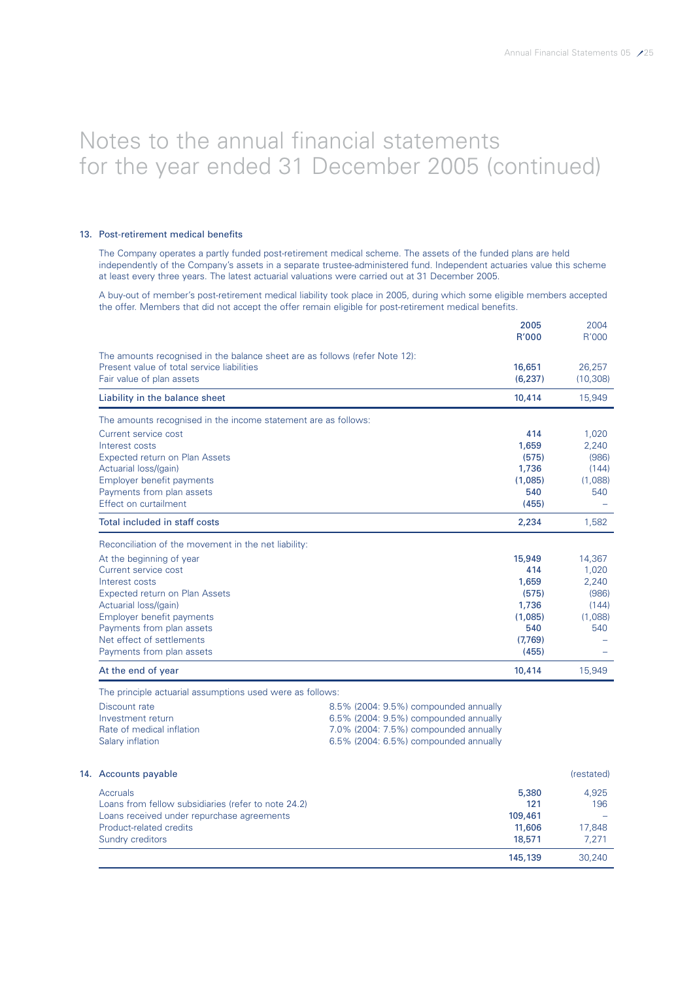145,139 30,240

# Notes to the annual financial statements for the year ended 31 December 2005 (continued)

### 13. Post-retirement medical benefits

The Company operates a partly funded post-retirement medical scheme. The assets of the funded plans are held independently of the Company's assets in a separate trustee-administered fund. Independent actuaries value this scheme at least every three years. The latest actuarial valuations were carried out at 31 December 2005.

A buy-out of member's post-retirement medical liability took place in 2005, during which some eligible members accepted the offer. Members that did not accept the offer remain eligible for post-retirement medical benefits.

|                                                                             |                                       | 2005<br>R'000      | 2004<br>R'000       |
|-----------------------------------------------------------------------------|---------------------------------------|--------------------|---------------------|
| The amounts recognised in the balance sheet are as follows (refer Note 12): |                                       |                    |                     |
| Present value of total service liabilities<br>Fair value of plan assets     |                                       | 16,651<br>(6, 237) | 26,257<br>(10, 308) |
| Liability in the balance sheet                                              |                                       | 10,414             | 15,949              |
| The amounts recognised in the income statement are as follows:              |                                       |                    |                     |
| Current service cost                                                        |                                       | 414                | 1,020               |
| Interest costs                                                              |                                       | 1,659              | 2,240               |
| Expected return on Plan Assets                                              |                                       | (575)              | (986)               |
| Actuarial loss/(gain)                                                       |                                       | 1,736              | (144)               |
| Employer benefit payments                                                   |                                       | (1,085)            | (1,088)             |
| Payments from plan assets                                                   | 540                                   | 540                |                     |
| Effect on curtailment                                                       |                                       | (455)              |                     |
| Total included in staff costs                                               | 2,234                                 | 1,582              |                     |
| Reconciliation of the movement in the net liability:                        |                                       |                    |                     |
| At the beginning of year                                                    |                                       | 15,949             | 14,367              |
| Current service cost                                                        |                                       | 414                | 1,020               |
| Interest costs                                                              |                                       | 1,659              | 2,240               |
| Expected return on Plan Assets                                              |                                       | (575)              | (986)               |
| Actuarial loss/(gain)                                                       |                                       | 1,736              | (144)               |
| Employer benefit payments                                                   |                                       | (1,085)            | (1,088)             |
| Payments from plan assets                                                   |                                       | 540                | 540                 |
| Net effect of settlements                                                   |                                       | (7.769)            |                     |
| Payments from plan assets                                                   |                                       | (455)              |                     |
| At the end of year                                                          |                                       | 10,414             | 15,949              |
| The principle actuarial assumptions used were as follows:                   |                                       |                    |                     |
| Discount rate                                                               | 8.5% (2004: 9.5%) compounded annually |                    |                     |
| Investment return                                                           | 6.5% (2004: 9.5%) compounded annually |                    |                     |
| Rate of medical inflation                                                   | 7.0% (2004: 7.5%) compounded annually |                    |                     |
| Salary inflation                                                            | 6.5% (2004: 6.5%) compounded annually |                    |                     |
| 14. Accounts payable                                                        |                                       |                    | (restated)          |
| Accruals                                                                    |                                       | 5,380              | 4,925               |
| Loans from fellow subsidiaries (refer to note 24.2)                         |                                       | 121                | 196                 |
| Loans received under repurchase agreements                                  |                                       | 109,461            |                     |
| Product-related credits                                                     |                                       | 11,606             | 17,848              |

Sundry creditors 18,571 7,271 7,271 7,271 7,271 7,271 7,271 7,271 7,271 7,271 7,271 7,271 7,271 7,271 7,271 7,271 7,271 7,271 7,271 7,271 7,271 7,271 7,271 7,271 7,271 7,271 7,271 7,271 7,271 7,271 7,271 7,271 7,271 7,271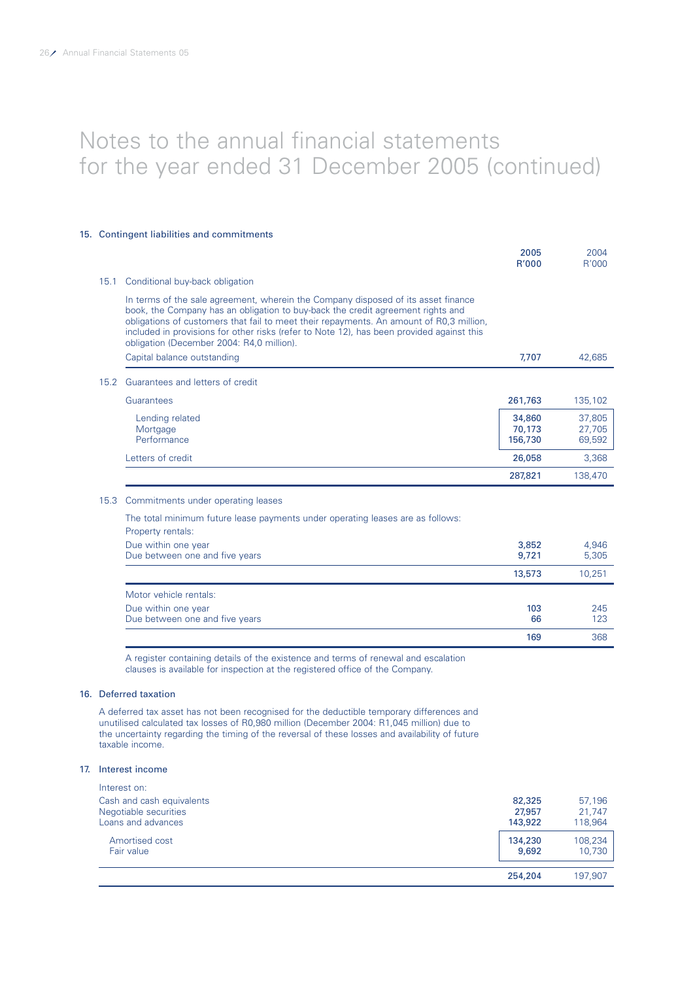### 15. Contingent liabilities and commitments

|      |                                                                                                                                                                                                                                                                                                                                                                                                           | 2005<br>R'000               | 2004<br>R'000              |
|------|-----------------------------------------------------------------------------------------------------------------------------------------------------------------------------------------------------------------------------------------------------------------------------------------------------------------------------------------------------------------------------------------------------------|-----------------------------|----------------------------|
| 15.1 | Conditional buy-back obligation                                                                                                                                                                                                                                                                                                                                                                           |                             |                            |
|      | In terms of the sale agreement, wherein the Company disposed of its asset finance<br>book, the Company has an obligation to buy-back the credit agreement rights and<br>obligations of customers that fail to meet their repayments. An amount of R0,3 million,<br>included in provisions for other risks (refer to Note 12), has been provided against this<br>obligation (December 2004: R4,0 million). |                             |                            |
|      | Capital balance outstanding                                                                                                                                                                                                                                                                                                                                                                               | 7.707                       | 42.685                     |
| 15.2 | Guarantees and letters of credit                                                                                                                                                                                                                                                                                                                                                                          |                             |                            |
|      | Guarantees                                                                                                                                                                                                                                                                                                                                                                                                | 261,763                     | 135,102                    |
|      | Lending related<br>Mortgage<br>Performance                                                                                                                                                                                                                                                                                                                                                                | 34,860<br>70,173<br>156,730 | 37,805<br>27,705<br>69,592 |
|      | Letters of credit                                                                                                                                                                                                                                                                                                                                                                                         | 26,058                      | 3,368                      |
|      |                                                                                                                                                                                                                                                                                                                                                                                                           | 287,821                     | 138,470                    |
| 15.3 | Commitments under operating leases                                                                                                                                                                                                                                                                                                                                                                        |                             |                            |
|      | The total minimum future lease payments under operating leases are as follows:<br>Property rentals:                                                                                                                                                                                                                                                                                                       |                             |                            |
|      | Due within one year<br>Due between one and five years                                                                                                                                                                                                                                                                                                                                                     | 3.852<br>9,721              | 4.946<br>5,305             |
|      |                                                                                                                                                                                                                                                                                                                                                                                                           | 13,573                      | 10,251                     |
|      | Motor vehicle rentals:                                                                                                                                                                                                                                                                                                                                                                                    |                             |                            |
|      | Due within one year<br>Due between one and five years                                                                                                                                                                                                                                                                                                                                                     | 103<br>66                   | 245<br>123                 |
|      |                                                                                                                                                                                                                                                                                                                                                                                                           | 169                         | 368                        |

A register containing details of the existence and terms of renewal and escalation clauses is available for inspection at the registered office of the Company.

# 16. Deferred taxation

A deferred tax asset has not been recognised for the deductible temporary differences and unutilised calculated tax losses of R0,980 million (December 2004: R1,045 million) due to the uncertainty regarding the timing of the reversal of these losses and availability of future taxable income.

### 17. Interest income

|                           | 254,204 | 197.907 |
|---------------------------|---------|---------|
| Amortised cost            | 134,230 | 108,234 |
| Fair value                | 9,692   | 10,730  |
| Cash and cash equivalents | 82,325  | 57.196  |
| Negotiable securities     | 27,957  | 21.747  |
| Loans and advances        | 143,922 | 118,964 |
| Interest on:              |         |         |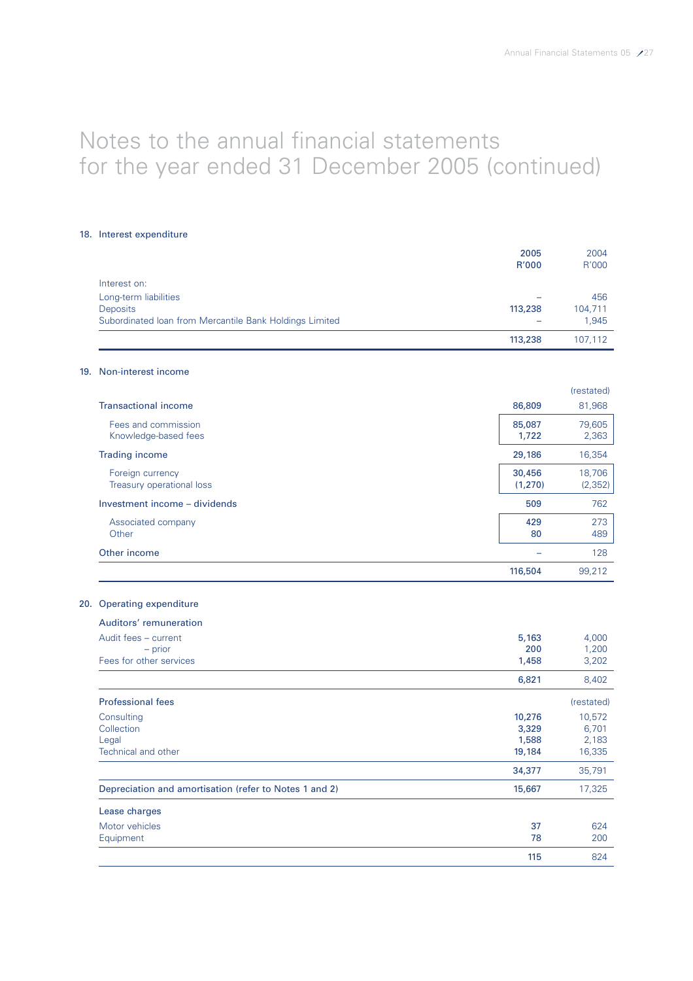### 18. Interest expenditure

|                                                         | 2005<br>R'000 | 2004<br>R'000 |
|---------------------------------------------------------|---------------|---------------|
| Interest on:                                            |               |               |
| Long-term liabilities                                   |               | 456           |
| Deposits                                                | 113,238       | 104,711       |
| Subordinated Ioan from Mercantile Bank Holdings Limited |               | 1,945         |
|                                                         | 113,238       | 107,112       |
| 19. Non-interest income                                 |               |               |
|                                                         |               | (restated)    |
| <b>Transactional income</b>                             | 86,809        | 81,968        |
| Fees and commission                                     | 85,087        | 79,605        |
| Knowledge-based fees                                    | 1,722         | 2,363         |
| <b>Trading income</b>                                   | 29,186        | 16,354        |
| Foreign currency                                        | 30,456        | 18,706        |
| Treasury operational loss                               | (1,270)       | (2, 352)      |
| Investment income - dividends                           | 509           | 762           |
| Associated company                                      | 429           | 273           |
| Other                                                   | 80            | 489           |
| Other income                                            |               | 128           |
|                                                         | 116,504       | 99,212        |
| 20. Operating expenditure                               |               |               |
| Auditors' remuneration                                  |               |               |
| Audit fees - current                                    | 5,163         | 4,000         |
| $-$ prior                                               | 200           | 1,200         |
| Fees for other services                                 | 1,458         | 3,202         |
|                                                         | 6,821         | 8,402         |
| <b>Professional fees</b>                                |               | (restated)    |
| Consulting                                              | 10,276        | 10,572        |
| Collection                                              | 3,329         | 6,701         |
| Legal                                                   | 1,588         | 2,183         |
| Technical and other                                     | 19,184        | 16,335        |
|                                                         | 34,377        | 35,791        |
| Depreciation and amortisation (refer to Notes 1 and 2)  | 15,667        | 17,325        |
| Lease charges                                           |               |               |
| Motor vehicles                                          | 37            | 624           |
| Equipment                                               | 78            | 200           |
|                                                         | 115           | 824           |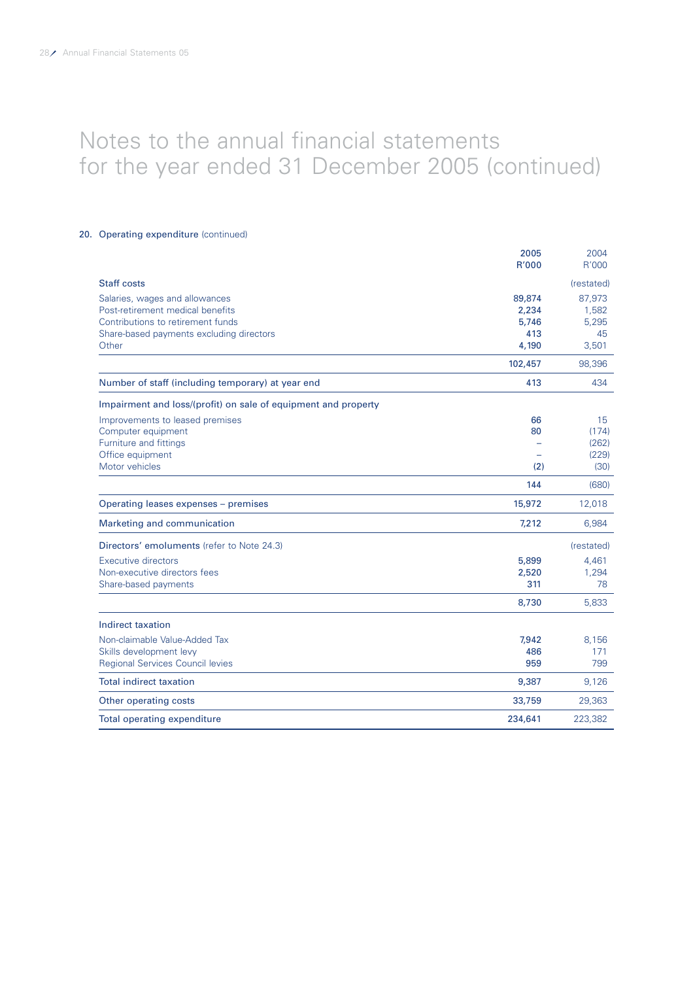### 20. Operating expenditure (continued)

|                                                                | 2005    | 2004       |
|----------------------------------------------------------------|---------|------------|
|                                                                | R'000   | R'000      |
| <b>Staff costs</b>                                             |         | (restated) |
| Salaries, wages and allowances                                 | 89,874  | 87,973     |
| Post-retirement medical benefits                               | 2,234   | 1,582      |
| Contributions to retirement funds                              | 5,746   | 5,295      |
| Share-based payments excluding directors                       | 413     | 45         |
| Other                                                          | 4,190   | 3,501      |
|                                                                | 102,457 | 98,396     |
| Number of staff (including temporary) at year end              | 413     | 434        |
| Impairment and loss/(profit) on sale of equipment and property |         |            |
| Improvements to leased premises                                | 66      | 15         |
| Computer equipment                                             | 80      | (174)      |
| Furniture and fittings                                         |         | (262)      |
| Office equipment                                               |         | (229)      |
| Motor vehicles                                                 | (2)     | (30)       |
|                                                                | 144     | (680)      |
| Operating leases expenses - premises                           | 15,972  | 12,018     |
| Marketing and communication                                    | 7,212   | 6,984      |
| Directors' emoluments (refer to Note 24.3)                     |         | (restated) |
| <b>Executive directors</b>                                     | 5,899   | 4,461      |
| Non-executive directors fees                                   | 2,520   | 1,294      |
| Share-based payments                                           | 311     | 78         |
|                                                                | 8,730   | 5,833      |
| Indirect taxation                                              |         |            |
| Non-claimable Value-Added Tax                                  | 7,942   | 8,156      |
| Skills development levy                                        | 486     | 171        |
| <b>Regional Services Council levies</b>                        | 959     | 799        |
| <b>Total indirect taxation</b>                                 | 9,387   | 9,126      |
| Other operating costs                                          | 33,759  | 29,363     |
| Total operating expenditure                                    | 234,641 | 223,382    |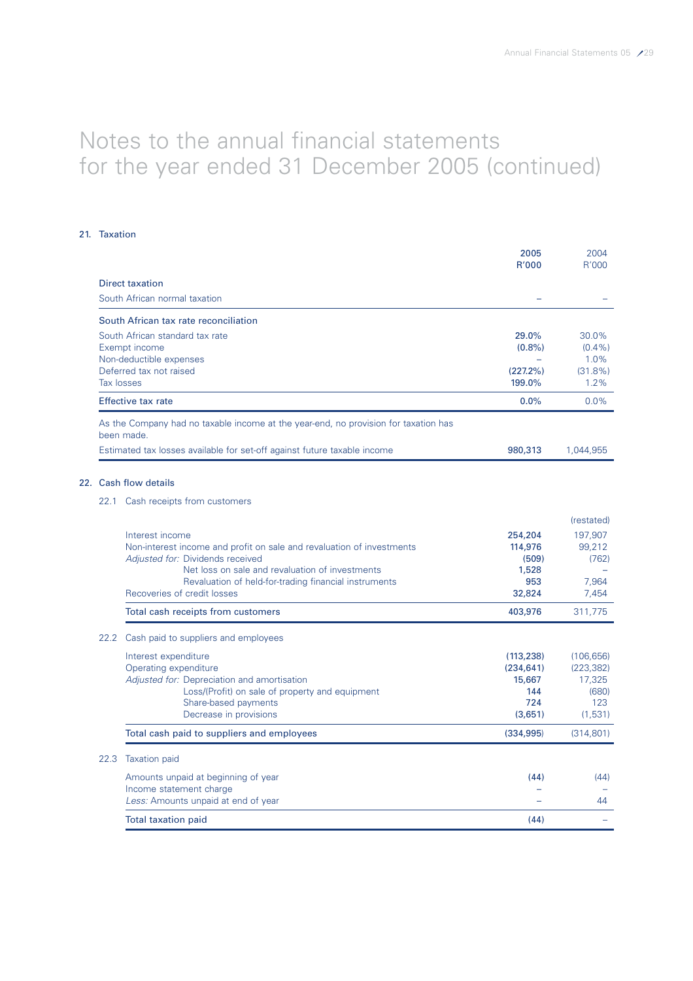# 21. Taxation

|      |                                                                                                           | 2005<br>R'000      | 2004<br>R'000     |
|------|-----------------------------------------------------------------------------------------------------------|--------------------|-------------------|
|      | <b>Direct taxation</b>                                                                                    |                    |                   |
|      | South African normal taxation                                                                             |                    |                   |
|      | South African tax rate reconciliation                                                                     |                    |                   |
|      | South African standard tax rate                                                                           | 29.0%              | 30.0%             |
|      | Exempt income                                                                                             | $(0.8\%)$          | $(0.4\%)$         |
|      | Non-deductible expenses                                                                                   |                    | 1.0%              |
|      | Deferred tax not raised                                                                                   | (227.2%)           | $(31.8\%)$        |
|      | <b>Tax losses</b>                                                                                         | 199.0%             | 1.2%              |
|      | <b>Effective tax rate</b>                                                                                 | 0.0%               | $0.0\%$           |
|      | As the Company had no taxable income at the year-end, no provision for taxation has<br>been made.         |                    |                   |
|      | Estimated tax losses available for set-off against future taxable income                                  | 980,313            | 1,044,955         |
|      | 22. Cash flow details                                                                                     |                    |                   |
|      | 22.1 Cash receipts from customers                                                                         |                    |                   |
|      |                                                                                                           |                    | (restated)        |
|      |                                                                                                           |                    |                   |
|      | Interest income                                                                                           | 254,204<br>114,976 | 197,907<br>99,212 |
|      | Non-interest income and profit on sale and revaluation of investments<br>Adjusted for: Dividends received | (509)              | (762)             |
|      | Net loss on sale and revaluation of investments                                                           | 1,528              |                   |
|      | Revaluation of held-for-trading financial instruments                                                     | 953                | 7,964             |
|      | Recoveries of credit losses                                                                               | 32,824             | 7,454             |
|      | Total cash receipts from customers                                                                        | 403,976            | 311,775           |
| 22.2 | Cash paid to suppliers and employees                                                                      |                    |                   |
|      | Interest expenditure                                                                                      | (113, 238)         | (106, 656)        |
|      | Operating expenditure                                                                                     | (234, 641)         | (223, 382)        |
|      | Adjusted for: Depreciation and amortisation                                                               | 15,667             | 17,325            |
|      | Loss/(Profit) on sale of property and equipment                                                           | 144                | (680)             |
|      | Share-based payments                                                                                      | 724                | 123               |
|      | Decrease in provisions                                                                                    | (3,651)            | (1,531)           |
|      | Total cash paid to suppliers and employees                                                                | (334, 995)         | (314, 801)        |
| 22.3 | <b>Taxation paid</b>                                                                                      |                    |                   |
|      | Amounts unpaid at beginning of year                                                                       | (44)               | (44)              |
|      | Income statement charge<br>Less: Amounts unpaid at end of year                                            |                    | 44                |
|      | <b>Total taxation paid</b>                                                                                | (44)               |                   |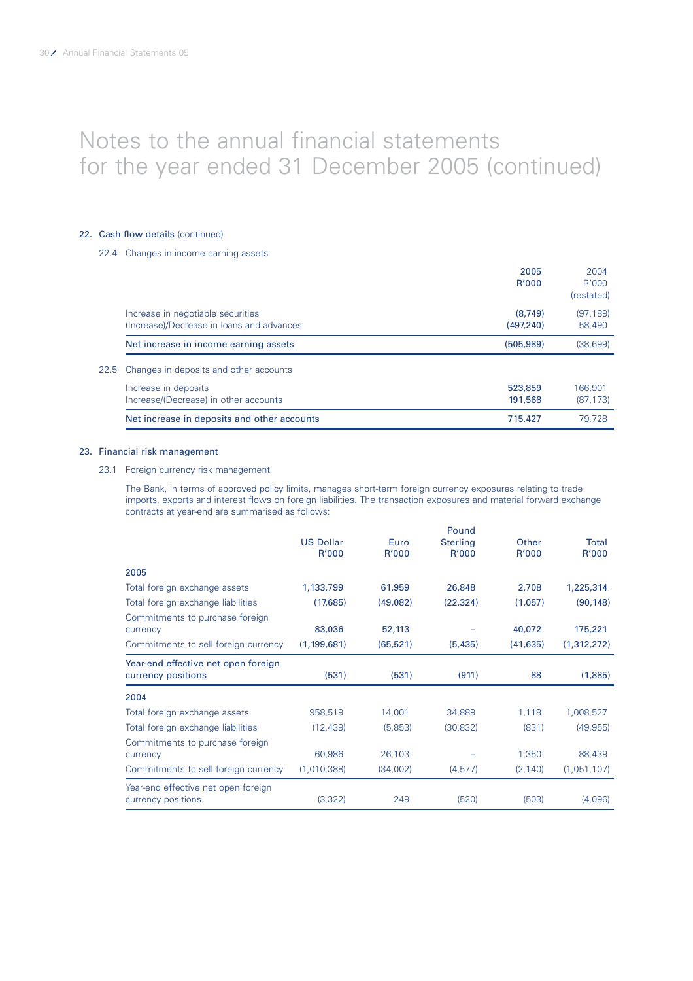### 22. Cash flow details (continued)

# 22.4 Changes in income earning assets

|                                             | 2005         | 2004       |
|---------------------------------------------|--------------|------------|
|                                             | <b>R'000</b> | R'000      |
|                                             |              | (restated) |
| Increase in negotiable securities           | (8.749)      | (97, 189)  |
| (Increase)/Decrease in loans and advances   | (497.240)    | 58,490     |
| Net increase in income earning assets       | (505, 989)   | (38,699)   |
| 22.5 Changes in deposits and other accounts |              |            |
| Increase in deposits                        | 523,859      | 166.901    |
| Increase/(Decrease) in other accounts       | 191,568      | (87, 173)  |
| Net increase in deposits and other accounts | 715,427      | 79.728     |

### 23. Financial risk management

### 23.1 Foreign currency risk management

The Bank, in terms of approved policy limits, manages short-term foreign currency exposures relating to trade imports, exports and interest flows on foreign liabilities. The transaction exposures and material forward exchange contracts at year-end are summarised as follows:

|                                      |                  |           | Pound           |           |              |
|--------------------------------------|------------------|-----------|-----------------|-----------|--------------|
|                                      | <b>US Dollar</b> | Euro      | <b>Sterling</b> | Other     | <b>Total</b> |
|                                      | R'000            | R'000     | R'000           | R'000     | R'000        |
| 2005                                 |                  |           |                 |           |              |
| Total foreign exchange assets        | 1,133,799        | 61,959    | 26,848          | 2,708     | 1,225,314    |
| Total foreign exchange liabilities   | (17,685)         | (49,082)  | (22, 324)       | (1,057)   | (90, 148)    |
| Commitments to purchase foreign      |                  |           |                 |           |              |
| currency                             | 83,036           | 52,113    |                 | 40,072    | 175,221      |
| Commitments to sell foreign currency | (1, 199, 681)    | (65, 521) | (5, 435)        | (41, 635) | (1,312,272)  |
| Year-end effective net open foreign  |                  |           |                 |           |              |
| currency positions                   | (531)            | (531)     | (911)           | 88        | (1,885)      |
| 2004                                 |                  |           |                 |           |              |
| Total foreign exchange assets        | 958,519          | 14,001    | 34,889          | 1,118     | 1,008,527    |
| Total foreign exchange liabilities   | (12, 439)        | (5,853)   | (30, 832)       | (831)     | (49, 955)    |
| Commitments to purchase foreign      |                  |           |                 |           |              |
| currency                             | 60,986           | 26,103    |                 | 1,350     | 88,439       |
| Commitments to sell foreign currency | (1,010,388)      | (34,002)  | (4, 577)        | (2, 140)  | (1,051,107)  |
| Year-end effective net open foreign  |                  |           |                 |           |              |
|                                      |                  |           |                 |           |              |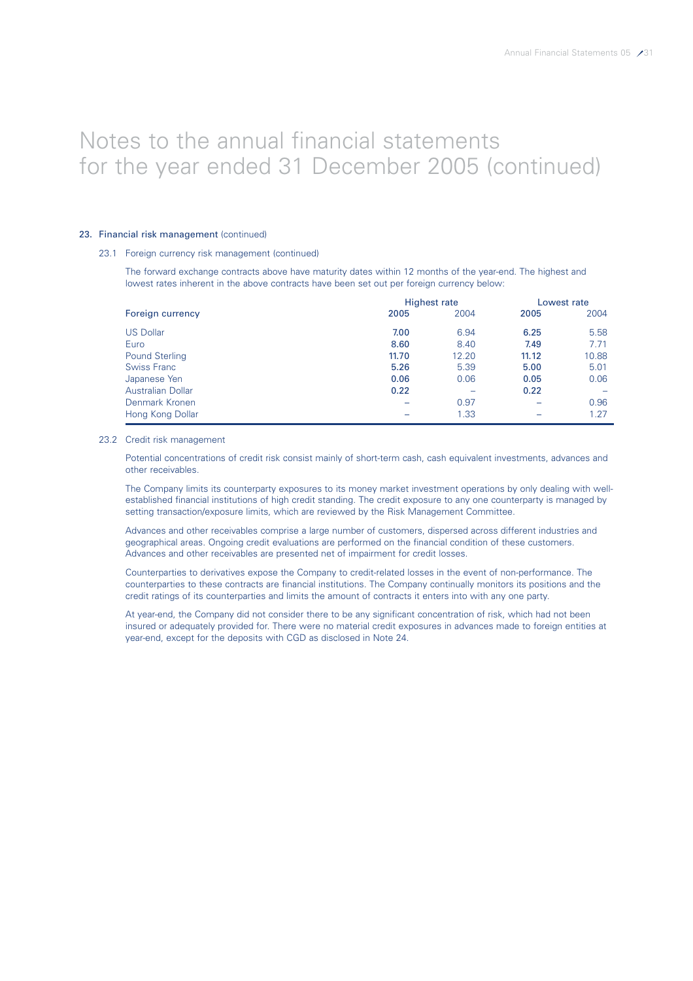### 23. Financial risk management (continued)

### 23.1 Foreign currency risk management (continued)

The forward exchange contracts above have maturity dates within 12 months of the year-end. The highest and lowest rates inherent in the above contracts have been set out per foreign currency below:

|                          | Highest rate |       |       | Lowest rate |  |
|--------------------------|--------------|-------|-------|-------------|--|
| Foreign currency         | 2005         | 2004  | 2005  | 2004        |  |
| <b>US Dollar</b>         | 7.00         | 6.94  | 6.25  | 5.58        |  |
| Euro                     | 8.60         | 8.40  | 7.49  | 7.71        |  |
| <b>Pound Sterling</b>    | 11.70        | 12.20 | 11.12 | 10.88       |  |
| <b>Swiss Franc</b>       | 5.26         | 5.39  | 5.00  | 5.01        |  |
| Japanese Yen             | 0.06         | 0.06  | 0.05  | 0.06        |  |
| <b>Australian Dollar</b> | 0.22         |       | 0.22  |             |  |
| Denmark Kronen           |              | 0.97  |       | 0.96        |  |
| Hong Kong Dollar         |              | 1.33  |       | 1.27        |  |

#### 23.2 Credit risk management

Potential concentrations of credit risk consist mainly of short-term cash, cash equivalent investments, advances and other receivables.

The Company limits its counterparty exposures to its money market investment operations by only dealing with wellestablished financial institutions of high credit standing. The credit exposure to any one counterparty is managed by setting transaction/exposure limits, which are reviewed by the Risk Management Committee.

Advances and other receivables comprise a large number of customers, dispersed across different industries and geographical areas. Ongoing credit evaluations are performed on the financial condition of these customers. Advances and other receivables are presented net of impairment for credit losses.

Counterparties to derivatives expose the Company to credit-related losses in the event of non-performance. The counterparties to these contracts are financial institutions. The Company continually monitors its positions and the credit ratings of its counterparties and limits the amount of contracts it enters into with any one party.

At year-end, the Company did not consider there to be any significant concentration of risk, which had not been insured or adequately provided for. There were no material credit exposures in advances made to foreign entities at year-end, except for the deposits with CGD as disclosed in Note 24.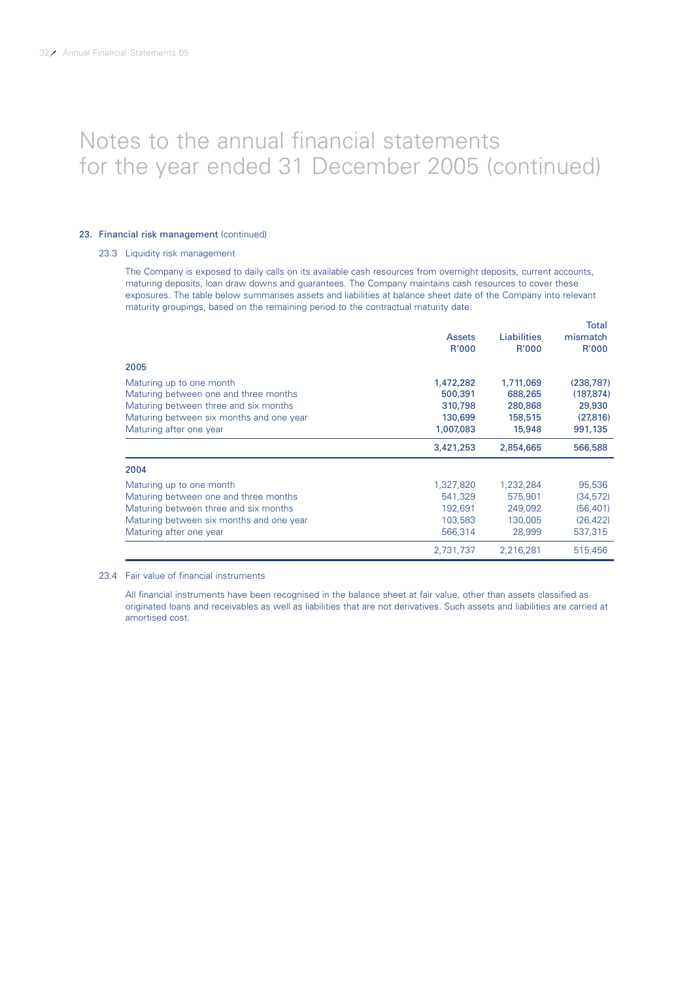### 23. Financial risk management (continued)

#### 23.3 Liquidity risk management

The Company is exposed to daily calls on its available cash resources from overnight deposits, current accounts, maturing deposits, loan draw downs and guarantees. The Company maintains cash resources to cover these exposures. The table below summarises assets and liabilities at balance sheet date of the Company into relevant maturity groupings, based on the remaining period to the contractual maturity date:

|                                          | <b>Assets</b><br>R'000 | Liabilities<br>R'000 | <b>Total</b><br>mismatch<br>R'000 |
|------------------------------------------|------------------------|----------------------|-----------------------------------|
| 2005                                     |                        |                      |                                   |
| Maturing up to one month                 | 1,472,282              | 1,711,069            | (238, 787)                        |
| Maturing between one and three months    | 500,391                | 688,265              | (187, 874)                        |
| Maturing between three and six months    | 310,798                | 280,868              | 29,930                            |
| Maturing between six months and one year | 130,699                | 158,515              | (27, 816)                         |
| Maturing after one year                  | 1,007,083              | 15,948               | 991,135                           |
|                                          | 3,421,253              | 2,854,665            | 566,588                           |
| 2004                                     |                        |                      |                                   |
| Maturing up to one month                 | 1,327,820              | 1,232,284            | 95,536                            |
| Maturing between one and three months    | 541,329                | 575,901              | (34, 572)                         |
| Maturing between three and six months    | 192,691                | 249,092              | (56, 401)                         |
| Maturing between six months and one year | 103,583                | 130,005              | (26, 422)                         |
|                                          |                        |                      |                                   |
| Maturing after one year                  | 566,314                | 28,999               | 537,315                           |

#### 23.4 Fair value of financial instruments

All financial instruments have been recognised in the balance sheet at fair value, other than assets classified as originated loans and receivables as well as liabilities that are not derivatives. Such assets and liabilities are carried at amortised cost.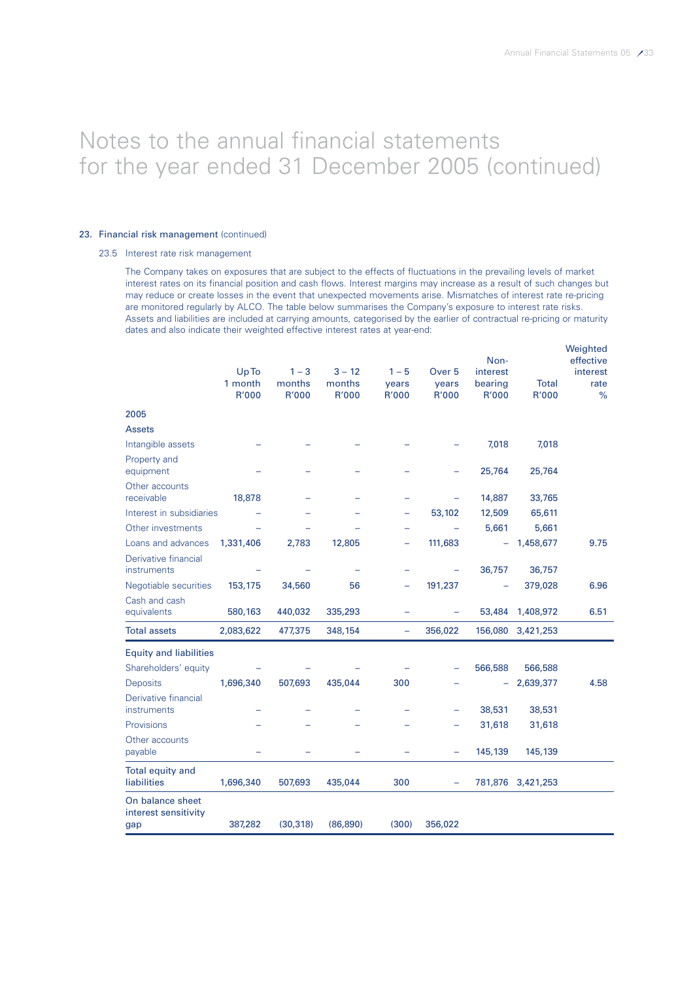### 23. Financial risk management (continued)

### 23.5 Interest rate risk management

The Company takes on exposures that are subject to the effects of fluctuations in the prevailing levels of market interest rates on its financial position and cash flows. Interest margins may increase as a result of such changes but may reduce or create losses in the event that unexpected movements arise. Mismatches of interest rate re-pricing are monitored regularly by ALCO. The table below summarises the Company's exposure to interest rate risks. Assets and liabilities are included at carrying amounts, categorised by the earlier of contractual re-pricing or maturity dates and also indicate their weighted effective interest rates at year-end:

|                                          | Up To<br>1 month<br>R'000 | $1 - 3$<br>months<br>R'000 | $3 - 12$<br>months<br>R'000 | $1 - 5$<br>years<br>R'000 | Over <sub>5</sub><br>years<br><b>R'000</b> | Non-<br>interest<br>bearing<br>R'000 | <b>Total</b><br>R'000 | Weighted<br>effective<br>interest<br>rate<br>$\%$ |
|------------------------------------------|---------------------------|----------------------------|-----------------------------|---------------------------|--------------------------------------------|--------------------------------------|-----------------------|---------------------------------------------------|
| 2005                                     |                           |                            |                             |                           |                                            |                                      |                       |                                                   |
| <b>Assets</b>                            |                           |                            |                             |                           |                                            |                                      |                       |                                                   |
| Intangible assets                        |                           |                            |                             |                           |                                            | 7,018                                | 7,018                 |                                                   |
| Property and<br>equipment                |                           |                            |                             |                           |                                            | 25,764                               | 25,764                |                                                   |
| Other accounts<br>receivable             | 18,878                    |                            |                             |                           |                                            | 14,887                               | 33,765                |                                                   |
| Interest in subsidiaries                 |                           |                            |                             | $\overline{\phantom{0}}$  | 53,102                                     | 12,509                               | 65,611                |                                                   |
| Other investments                        |                           |                            |                             | -                         |                                            | 5,661                                | 5,661                 |                                                   |
| Loans and advances                       | 1,331,406                 | 2,783                      | 12,805                      |                           | 111,683                                    | ÷                                    | 1,458,677             | 9.75                                              |
| Derivative financial<br>instruments      |                           |                            |                             |                           |                                            | 36,757                               | 36,757                |                                                   |
| Negotiable securities                    | 153,175                   | 34,560                     | 56                          |                           | 191,237                                    |                                      | 379,028               | 6.96                                              |
| Cash and cash<br>equivalents             | 580,163                   | 440,032                    | 335,293                     | $\overline{\phantom{0}}$  | ÷                                          | 53,484                               | 1,408,972             | 6.51                                              |
| <b>Total assets</b>                      | 2,083,622                 | 477,375                    | 348,154                     | $\qquad \qquad -$         | 356,022                                    | 156,080                              | 3,421,253             |                                                   |
| <b>Equity and liabilities</b>            |                           |                            |                             |                           |                                            |                                      |                       |                                                   |
| Shareholders' equity                     |                           |                            |                             |                           |                                            | 566,588                              | 566,588               |                                                   |
| <b>Deposits</b>                          | 1,696,340                 | 507,693                    | 435,044                     | 300                       |                                            |                                      | 2,639,377             | 4.58                                              |
| Derivative financial<br>instruments      |                           |                            |                             |                           |                                            | 38,531                               | 38,531                |                                                   |
| Provisions                               |                           |                            |                             |                           |                                            | 31,618                               | 31,618                |                                                   |
| Other accounts<br>payable                |                           |                            |                             |                           | -                                          | 145,139                              | 145,139               |                                                   |
| Total equity and<br>liabilities          | 1,696,340                 | 507,693                    | 435,044                     | 300                       |                                            |                                      | 781,876 3,421,253     |                                                   |
| On balance sheet<br>interest sensitivity |                           |                            |                             | (300)                     |                                            |                                      |                       |                                                   |
| gap                                      | 387,282                   | (30, 318)                  | (86, 890)                   |                           | 356,022                                    |                                      |                       |                                                   |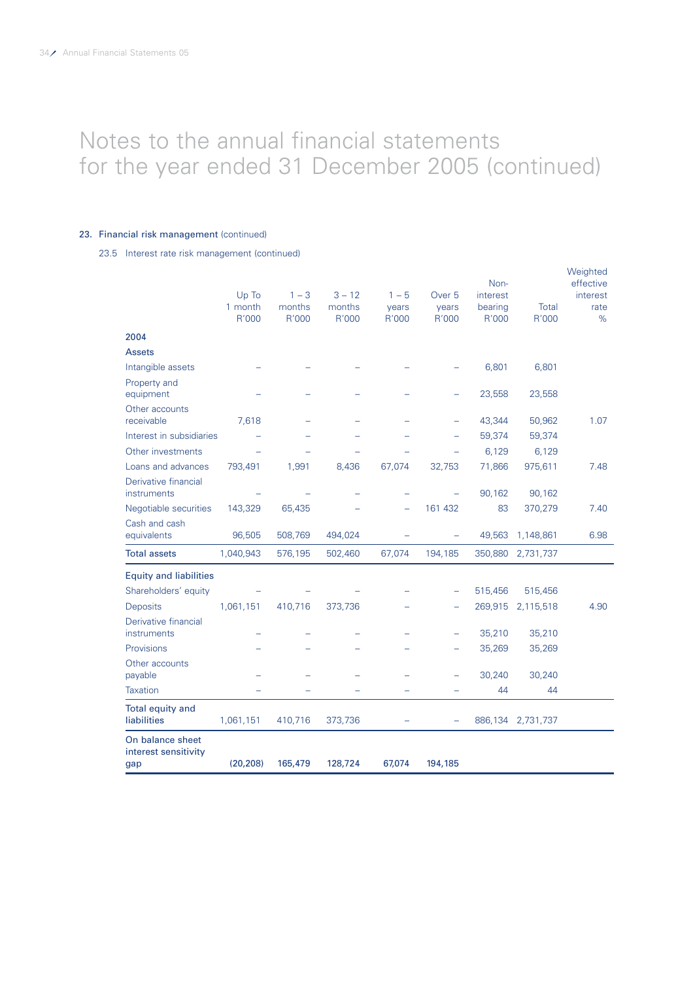### 23. Financial risk management (continued)

23.5 Interest rate risk management (continued)

|                                          | Up To<br>1 month<br>R'000 | $1 - 3$<br>months<br>R'000 | $3 - 12$<br>months<br>R'000 | $1 - 5$<br>years<br>R'000 | Over <sub>5</sub><br>years<br>R'000 | Non-<br>interest<br>bearing<br>R'000 | Total<br>R'000    | Weighted<br>effective<br>interest<br>rate<br>% |
|------------------------------------------|---------------------------|----------------------------|-----------------------------|---------------------------|-------------------------------------|--------------------------------------|-------------------|------------------------------------------------|
| 2004                                     |                           |                            |                             |                           |                                     |                                      |                   |                                                |
| <b>Assets</b>                            |                           |                            |                             |                           |                                     |                                      |                   |                                                |
| Intangible assets                        |                           |                            |                             |                           |                                     | 6,801                                | 6,801             |                                                |
| Property and<br>equipment                |                           |                            |                             |                           |                                     | 23,558                               | 23,558            |                                                |
| Other accounts                           |                           |                            |                             |                           |                                     |                                      |                   |                                                |
| receivable                               | 7,618                     |                            |                             |                           |                                     | 43,344                               | 50,962            | 1.07                                           |
| Interest in subsidiaries                 |                           |                            |                             |                           |                                     | 59,374                               | 59,374            |                                                |
| Other investments                        |                           |                            |                             |                           |                                     | 6,129                                | 6,129             |                                                |
| Loans and advances                       | 793,491                   | 1,991                      | 8,436                       | 67,074                    | 32,753                              | 71,866                               | 975,611           | 7.48                                           |
| Derivative financial<br>instruments      |                           |                            |                             |                           |                                     | 90,162                               | 90,162            |                                                |
| Negotiable securities                    | 143,329                   | 65,435                     |                             |                           | 161 432                             | 83                                   | 370,279           | 7.40                                           |
| Cash and cash<br>equivalents             | 96,505                    | 508,769                    | 494,024                     |                           |                                     | 49,563                               | 1,148,861         | 6.98                                           |
| <b>Total assets</b>                      | 1,040,943                 | 576,195                    | 502,460                     | 67,074                    | 194,185                             | 350,880                              | 2,731,737         |                                                |
| <b>Equity and liabilities</b>            |                           |                            |                             |                           |                                     |                                      |                   |                                                |
| Shareholders' equity                     |                           |                            |                             |                           |                                     | 515,456                              | 515,456           |                                                |
| Deposits                                 | 1,061,151                 | 410,716                    | 373,736                     |                           |                                     | 269,915                              | 2,115,518         | 4.90                                           |
| Derivative financial                     |                           |                            |                             |                           |                                     |                                      |                   |                                                |
| instruments                              |                           |                            |                             |                           |                                     | 35,210                               | 35,210            |                                                |
| Provisions                               |                           |                            |                             |                           |                                     | 35,269                               | 35,269            |                                                |
| Other accounts<br>payable                |                           |                            |                             |                           |                                     | 30,240                               | 30,240            |                                                |
| <b>Taxation</b>                          |                           |                            |                             |                           |                                     | 44                                   | 44                |                                                |
| Total equity and                         |                           |                            |                             |                           |                                     |                                      |                   |                                                |
| liabilities                              | 1,061,151                 | 410,716                    | 373,736                     |                           |                                     |                                      | 886,134 2,731,737 |                                                |
| On balance sheet<br>interest sensitivity |                           |                            |                             |                           |                                     |                                      |                   |                                                |
| gap                                      | (20, 208)                 | 165,479                    | 128,724                     | 67,074                    | 194,185                             |                                      |                   |                                                |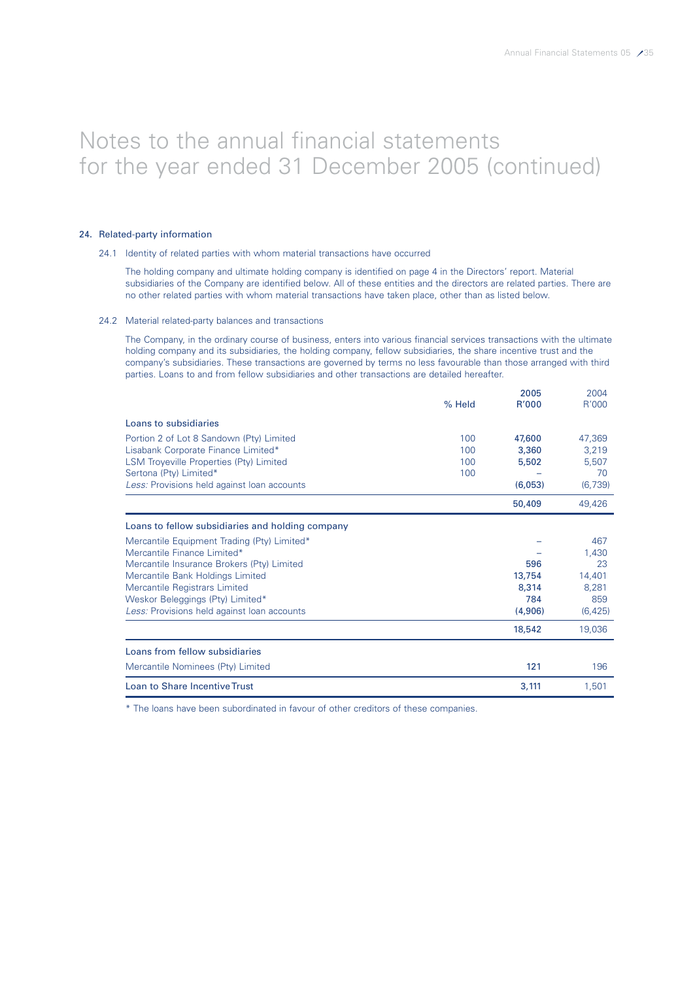### 24. Related-party information

#### 24.1 Identity of related parties with whom material transactions have occurred

The holding company and ultimate holding company is identified on page 4 in the Directors' report. Material subsidiaries of the Company are identified below. All of these entities and the directors are related parties. There are no other related parties with whom material transactions have taken place, other than as listed below.

#### 24.2 Material related-party balances and transactions

The Company, in the ordinary course of business, enters into various financial services transactions with the ultimate holding company and its subsidiaries, the holding company, fellow subsidiaries, the share incentive trust and the company's subsidiaries. These transactions are governed by terms no less favourable than those arranged with third parties. Loans to and from fellow subsidiaries and other transactions are detailed hereafter.

|                                                  |        | 2005    | 2004     |
|--------------------------------------------------|--------|---------|----------|
|                                                  | % Held | R'000   | R'000    |
| Loans to subsidiaries                            |        |         |          |
| Portion 2 of Lot 8 Sandown (Pty) Limited         | 100    | 47,600  | 47,369   |
| Lisabank Corporate Finance Limited*              | 100    | 3,360   | 3,219    |
| LSM Troyeville Properties (Pty) Limited          | 100    | 5,502   | 5,507    |
| Sertona (Pty) Limited*                           | 100    |         | 70       |
| Less: Provisions held against loan accounts      |        | (6,053) | (6,739)  |
|                                                  |        | 50,409  | 49,426   |
| Loans to fellow subsidiaries and holding company |        |         |          |
| Mercantile Equipment Trading (Pty) Limited*      |        |         | 467      |
| Mercantile Finance Limited*                      |        |         | 1,430    |
| Mercantile Insurance Brokers (Pty) Limited       |        | 596     | 23       |
| Mercantile Bank Holdings Limited                 |        | 13,754  | 14,401   |
| Mercantile Registrars Limited                    |        | 8,314   | 8.281    |
| Weskor Beleggings (Pty) Limited*                 |        | 784     | 859      |
| Less: Provisions held against loan accounts      |        | (4,906) | (6, 425) |
|                                                  |        | 18,542  | 19,036   |
| Loans from fellow subsidiaries                   |        |         |          |
| Mercantile Nominees (Pty) Limited                |        | 121     | 196      |
| <b>Loan to Share Incentive Trust</b>             |        | 3,111   | 1,501    |

\* The loans have been subordinated in favour of other creditors of these companies.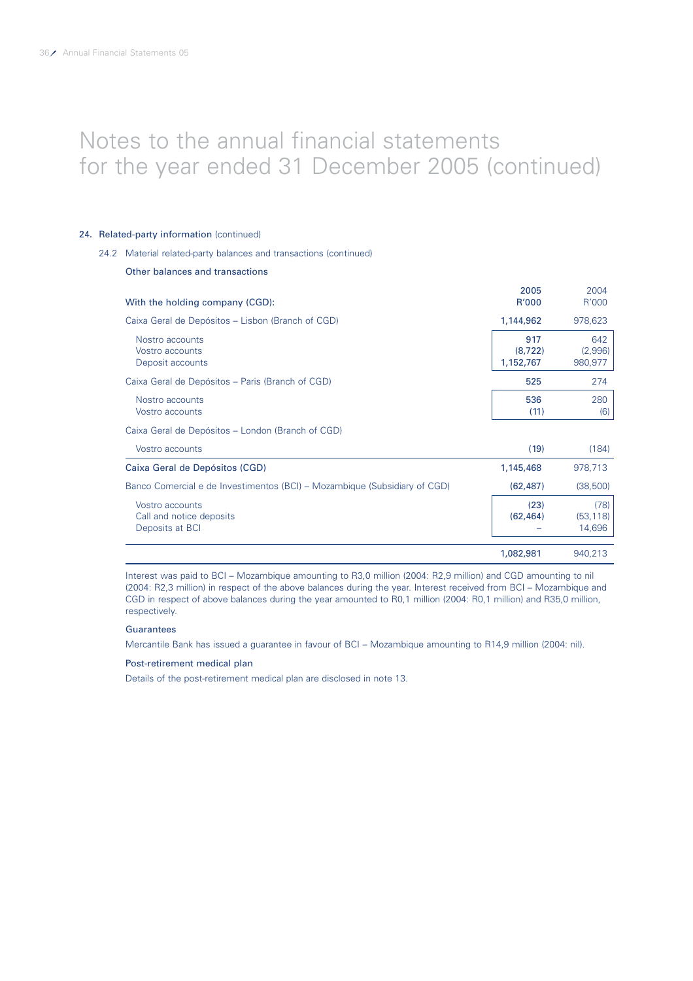# 24. Related-party information (continued)

Other balances and transactions

#### 24.2 Material related-party balances and transactions (continued)

| With the holding company (CGD):                                           | 2005<br>R'000                | 2004<br>R'000               |
|---------------------------------------------------------------------------|------------------------------|-----------------------------|
| Caixa Geral de Depósitos – Lisbon (Branch of CGD)                         | 1,144,962                    | 978,623                     |
| Nostro accounts<br>Vostro accounts<br>Deposit accounts                    | 917<br>(8, 722)<br>1,152,767 | 642<br>(2,996)<br>980,977   |
| Caixa Geral de Depósitos - Paris (Branch of CGD)                          | 525                          | 274                         |
| Nostro accounts<br>Vostro accounts                                        | 536<br>(11)                  | 280<br>(6)                  |
| Caixa Geral de Depósitos - London (Branch of CGD)                         |                              |                             |
| Vostro accounts                                                           | (19)                         | (184)                       |
| Caixa Geral de Depósitos (CGD)                                            | 1,145,468                    | 978,713                     |
| Banco Comercial e de Investimentos (BCI) – Mozambique (Subsidiary of CGD) | (62, 487)                    | (38,500)                    |
| Vostro accounts<br>Call and notice deposits<br>Deposits at BCI            | (23)<br>(62, 464)            | (78)<br>(53, 118)<br>14,696 |
|                                                                           | 1,082,981                    | 940,213                     |

Interest was paid to BCI – Mozambique amounting to R3,0 million (2004: R2,9 million) and CGD amounting to nil (2004: R2,3 million) in respect of the above balances during the year. Interest received from BCI – Mozambique and CGD in respect of above balances during the year amounted to R0,1 million (2004: R0,1 million) and R35,0 million, respectively.

#### **Guarantees**

Mercantile Bank has issued a guarantee in favour of BCI – Mozambique amounting to R14,9 million (2004: nil).

#### Post-retirement medical plan

Details of the post-retirement medical plan are disclosed in note 13.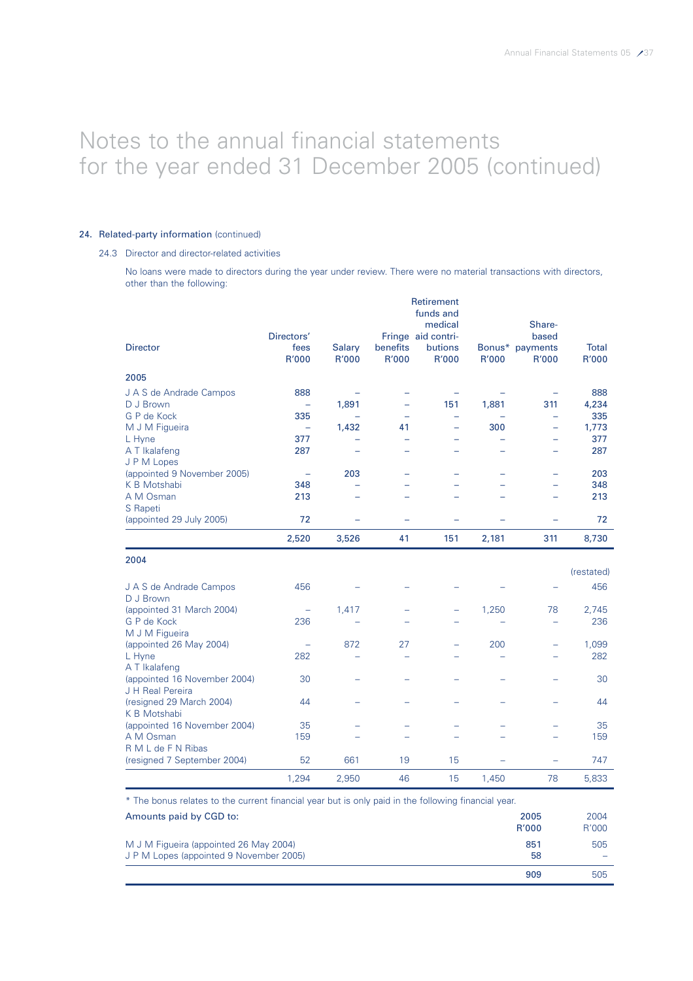# 24. Related-party information (continued)

# 24.3 Director and director-related activities

No loans were made to directors during the year under review. There were no material transactions with directors, other than the following:

| <b>Director</b>              | Directors'<br>fees       | <b>Salary</b>            | benefits                 | <b>Retirement</b><br>funds and<br>medical<br>Fringe aid contri-<br>butions |       | Share-<br>based<br>Bonus* payments | <b>Total</b> |
|------------------------------|--------------------------|--------------------------|--------------------------|----------------------------------------------------------------------------|-------|------------------------------------|--------------|
|                              | R'000                    | R'000                    | R'000                    | R'000                                                                      | R'000 | R'000                              | R'000        |
| 2005                         |                          |                          |                          |                                                                            |       |                                    |              |
| J A S de Andrade Campos      | 888                      |                          | -                        | $\overline{\phantom{m}}$                                                   |       |                                    | 888          |
| D J Brown                    | ۰                        | 1,891                    | -                        | 151                                                                        | 1,881 | 311                                | 4,234        |
| G P de Kock                  | 335                      |                          |                          |                                                                            |       |                                    | 335          |
| M J M Figueira               | $\overline{\phantom{a}}$ | 1,432                    | 41                       |                                                                            | 300   |                                    | 1,773        |
| L Hyne                       | 377                      |                          |                          |                                                                            |       |                                    | 377          |
| A T Ikalafeng                | 287                      | $\overline{\phantom{0}}$ | $\overline{\phantom{0}}$ |                                                                            |       | $\overline{\phantom{0}}$           | 287          |
| J P M Lopes                  |                          |                          |                          |                                                                            |       |                                    |              |
| (appointed 9 November 2005)  | $\overline{\phantom{0}}$ | 203                      | $\overline{\phantom{0}}$ |                                                                            |       | -                                  | 203          |
| K B Motshabi                 | 348                      |                          |                          |                                                                            |       |                                    | 348          |
| A M Osman                    | 213                      |                          |                          |                                                                            |       |                                    | 213          |
| S Rapeti                     |                          |                          |                          |                                                                            |       |                                    |              |
| (appointed 29 July 2005)     | 72                       |                          |                          |                                                                            |       |                                    | 72           |
|                              | 2,520                    | 3,526                    | 41                       | 151                                                                        | 2,181 | 311                                | 8,730        |
| 2004                         |                          |                          |                          |                                                                            |       |                                    |              |
|                              |                          |                          |                          |                                                                            |       |                                    | (restated)   |
| J A S de Andrade Campos      | 456                      |                          |                          |                                                                            |       |                                    | 456          |
| D J Brown                    |                          |                          |                          |                                                                            |       |                                    |              |
| (appointed 31 March 2004)    | ÷                        | 1,417                    | -                        | -                                                                          | 1,250 | 78                                 | 2,745        |
| G P de Kock                  | 236                      |                          |                          |                                                                            |       |                                    | 236          |
| M J M Figueira               |                          |                          |                          |                                                                            |       |                                    |              |
| (appointed 26 May 2004)      |                          | 872                      | 27                       |                                                                            | 200   |                                    | 1,099        |
| L Hyne                       | 282                      |                          |                          |                                                                            |       |                                    | 282          |
| A T Ikalafeng                |                          |                          |                          |                                                                            |       |                                    |              |
| (appointed 16 November 2004) | 30                       |                          |                          |                                                                            |       |                                    | 30           |
| J H Real Pereira             |                          |                          |                          |                                                                            |       |                                    |              |
| (resigned 29 March 2004)     | 44                       |                          |                          |                                                                            |       |                                    | 44           |
| K B Motshabi                 |                          |                          |                          |                                                                            |       |                                    |              |
| (appointed 16 November 2004) | 35                       |                          |                          |                                                                            |       |                                    | 35           |
| A M Osman                    | 159                      |                          |                          |                                                                            |       | $\overline{\phantom{0}}$           | 159          |
| R M L de F N Ribas           |                          |                          |                          |                                                                            |       |                                    |              |
| (resigned 7 September 2004)  | 52                       | 661                      | 19                       | 15                                                                         |       | $\equiv$                           | 747          |
|                              | 1,294                    | 2,950                    | 46                       | 15                                                                         | 1,450 | 78                                 | 5,833        |

\* The bonus relates to the current financial year but is only paid in the following financial year.

| Amounts paid by CGD to:                                                           | 2005<br><b>R'000</b> | 2004<br>R'000 |
|-----------------------------------------------------------------------------------|----------------------|---------------|
| M J M Figueira (appointed 26 May 2004)<br>J P M Lopes (appointed 9 November 2005) | 851<br>58            | 505<br>-      |
|                                                                                   | 909                  | 505           |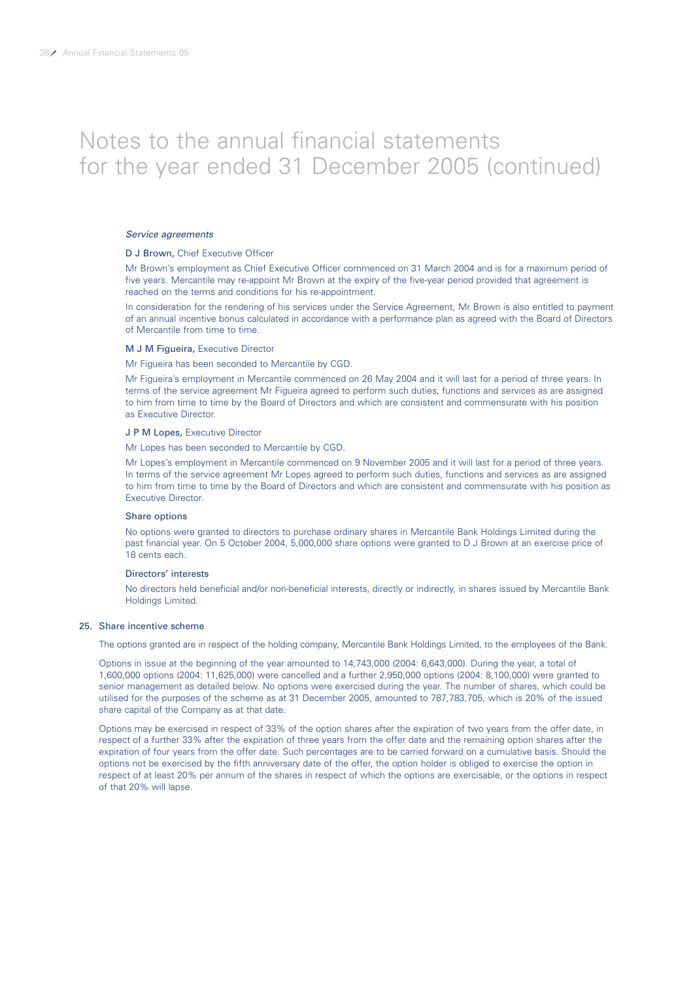#### Service agreements

#### D J Brown, Chief Executive Officer

Mr Brown's employment as Chief Executive Officer commenced on 31 March 2004 and is for a maximum period of five years. Mercantile may re-appoint Mr Brown at the expiry of the five-year period provided that agreement is reached on the terms and conditions for his re-appointment.

In consideration for the rendering of his services under the Service Agreement, Mr Brown is also entitled to payment of an annual incentive bonus calculated in accordance with a performance plan as agreed with the Board of Directors of Mercantile from time to time.

#### M J M Figueira, Executive Director

Mr Figueira has been seconded to Mercantile by CGD.

Mr Figueira's employment in Mercantile commenced on 26 May 2004 and it will last for a period of three years. In terms of the service agreement Mr Figueira agreed to perform such duties, functions and services as are assigned to him from time to time by the Board of Directors and which are consistent and commensurate with his position as Executive Director.

#### J P M Lopes, Executive Director

Mr Lopes has been seconded to Mercantile by CGD.

Mr Lopes's employment in Mercantile commenced on 9 November 2005 and it will last for a period of three years. In terms of the service agreement Mr Lopes agreed to perform such duties, functions and services as are assigned to him from time to time by the Board of Directors and which are consistent and commensurate with his position as Executive Director.

#### Share options

No options were granted to directors to purchase ordinary shares in Mercantile Bank Holdings Limited during the past financial year. On 5 October 2004, 5,000,000 share options were granted to D J Brown at an exercise price of 18 cents each.

#### Directors' interests

No directors held beneficial and/or non-beneficial interests, directly or indirectly, in shares issued by Mercantile Bank Holdings Limited.

#### 25. Share incentive scheme

The options granted are in respect of the holding company, Mercantile Bank Holdings Limited, to the employees of the Bank.

Options in issue at the beginning of the year amounted to 14,743,000 (2004: 6,643,000). During the year, a total of 1,600,000 options (2004: 11,625,000) were cancelled and a further 2,950,000 options (2004: 8,100,000) were granted to senior management as detailed below. No options were exercised during the year. The number of shares, which could be utilised for the purposes of the scheme as at 31 December 2005, amounted to 787,783,705, which is 20% of the issued share capital of the Company as at that date.

Options may be exercised in respect of 33% of the option shares after the expiration of two years from the offer date, in respect of a further 33% after the expiration of three years from the offer date and the remaining option shares after the expiration of four years from the offer date. Such percentages are to be carried forward on a cumulative basis. Should the options not be exercised by the fifth anniversary date of the offer, the option holder is obliged to exercise the option in respect of at least 20% per annum of the shares in respect of which the options are exercisable, or the options in respect of that 20% will lapse.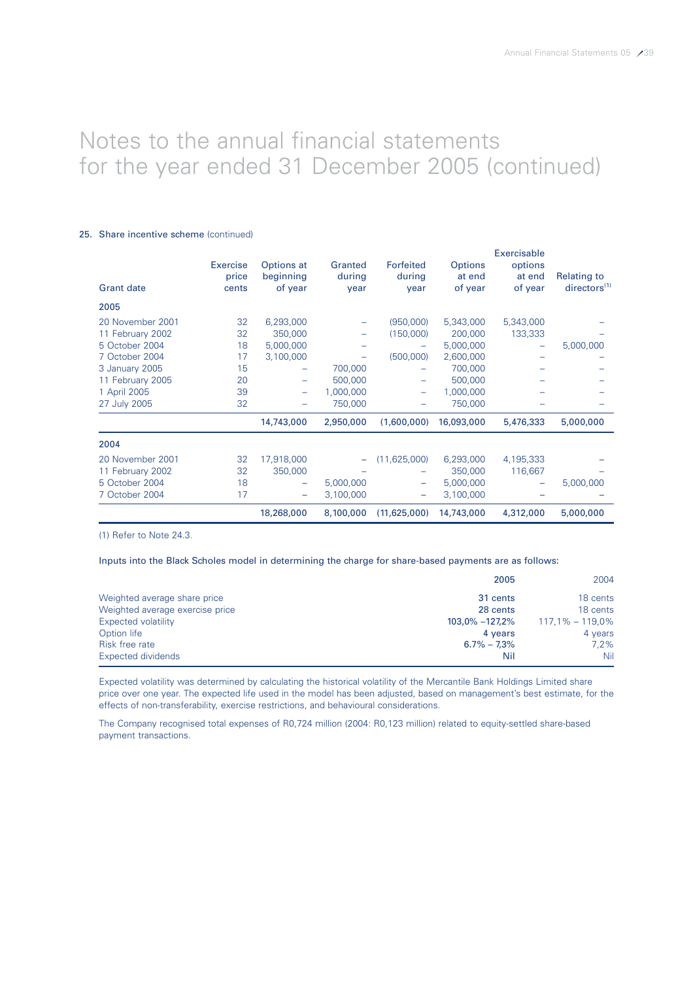### 25. Share incentive scheme (continued)

| <b>Grant date</b>                                                                                                                              | Exercise<br>price<br>cents                   | Options at<br>beginning<br>of year                                                        | Granted<br>during<br>year                  | Forfeited<br>during<br>year                   | <b>Options</b><br>at end<br>of year                                                          | Exercisable<br>options<br>at end<br>of year | <b>Relating to</b><br>directors <sup>(1)</sup> |
|------------------------------------------------------------------------------------------------------------------------------------------------|----------------------------------------------|-------------------------------------------------------------------------------------------|--------------------------------------------|-----------------------------------------------|----------------------------------------------------------------------------------------------|---------------------------------------------|------------------------------------------------|
| 2005                                                                                                                                           |                                              |                                                                                           |                                            |                                               |                                                                                              |                                             |                                                |
| 20 November 2001<br>11 February 2002<br>5 October 2004<br>7 October 2004<br>3 January 2005<br>11 February 2005<br>1 April 2005<br>27 July 2005 | 32<br>32<br>18<br>17<br>15<br>20<br>39<br>32 | 6,293,000<br>350,000<br>5,000,000<br>3,100,000<br>-<br>-<br>$\overline{\phantom{0}}$<br>- | 700,000<br>500,000<br>1,000,000<br>750,000 | (950,000)<br>(150,000)<br>(500,000)<br>÷<br>- | 5,343,000<br>200,000<br>5,000,000<br>2,600,000<br>700,000<br>500,000<br>1,000,000<br>750,000 | 5,343,000<br>133,333<br>-                   | 5,000,000                                      |
|                                                                                                                                                |                                              | 14,743,000                                                                                | 2,950,000                                  | (1,600,000)                                   | 16,093,000                                                                                   | 5,476,333                                   | 5,000,000                                      |
| 2004                                                                                                                                           |                                              |                                                                                           |                                            |                                               |                                                                                              |                                             |                                                |
| 20 November 2001<br>11 February 2002<br>5 October 2004<br>7 October 2004                                                                       | 32<br>32<br>18<br>17                         | 17,918,000<br>350,000<br>-<br>$\overline{\phantom{0}}$                                    | 5,000,000<br>3,100,000                     | (11, 625, 000)<br>-                           | 6,293,000<br>350,000<br>5,000,000<br>3,100,000                                               | 4,195,333<br>116,667<br>-                   | 5,000,000                                      |
|                                                                                                                                                |                                              | 18,268,000                                                                                | 8,100,000                                  | (11,625,000)                                  | 14,743,000                                                                                   | 4,312,000                                   | 5,000,000                                      |

(1) Refer to Note 24.3.

### Inputs into the Black Scholes model in determining the charge for share-based payments are as follows:

|                                 | 2005               | 2004                |
|---------------------------------|--------------------|---------------------|
| Weighted average share price    | 31 cents           | 18 cents            |
| Weighted average exercise price | 28 cents           | 18 cents            |
| Expected volatility             | $103,0\% -127,2\%$ | $117.1\% - 119.0\%$ |
| Option life                     | 4 years            | 4 years             |
| Risk free rate                  | $6.7\% - 7.3\%$    | $7.2\%$             |
| Expected dividends              | Nil                | Nil                 |

Expected volatility was determined by calculating the historical volatility of the Mercantile Bank Holdings Limited share price over one year. The expected life used in the model has been adjusted, based on management's best estimate, for the effects of non-transferability, exercise restrictions, and behavioural considerations.

The Company recognised total expenses of R0,724 million (2004: R0,123 million) related to equity-settled share-based payment transactions.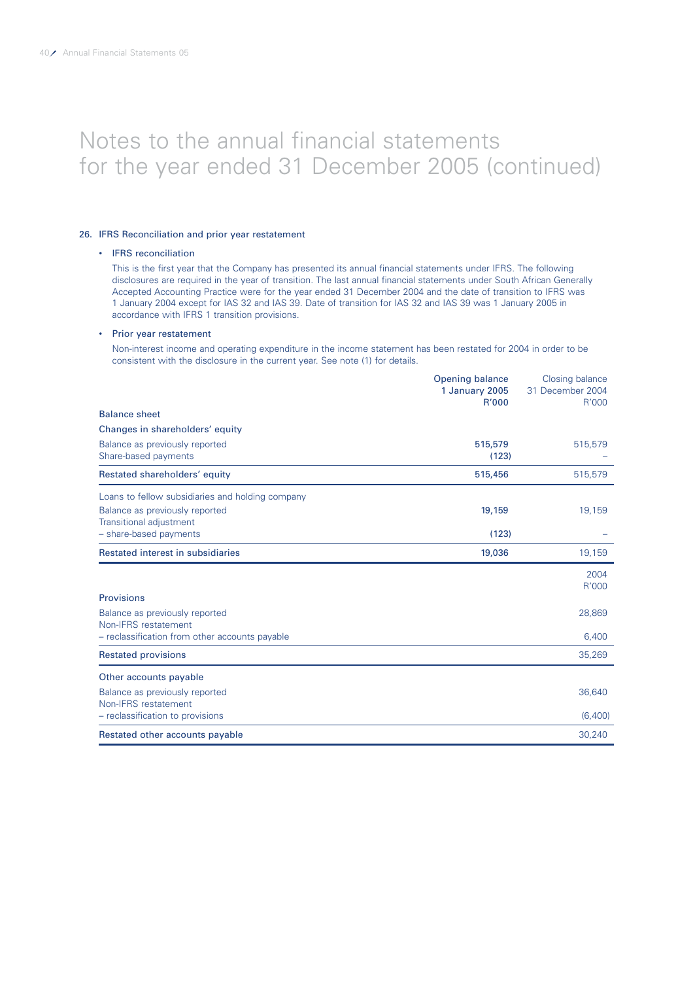# 26. IFRS Reconciliation and prior year restatement

#### • IFRS reconciliation

This is the first year that the Company has presented its annual financial statements under IFRS. The following disclosures are required in the year of transition. The last annual financial statements under South African Generally Accepted Accounting Practice were for the year ended 31 December 2004 and the date of transition to IFRS was 1 January 2004 except for IAS 32 and IAS 39. Date of transition for IAS 32 and IAS 39 was 1 January 2005 in accordance with IFRS 1 transition provisions.

#### • Prior year restatement

Non-interest income and operating expenditure in the income statement has been restated for 2004 in order to be consistent with the disclosure in the current year. See note (1) for details.

|                                                                  | <b>Opening balance</b><br>1 January 2005<br>R'000 | Closing balance<br>31 December 2004<br>R'000 |
|------------------------------------------------------------------|---------------------------------------------------|----------------------------------------------|
| <b>Balance sheet</b>                                             |                                                   |                                              |
| Changes in shareholders' equity                                  |                                                   |                                              |
| Balance as previously reported<br>Share-based payments           | 515,579<br>(123)                                  | 515,579                                      |
| Restated shareholders' equity                                    | 515,456                                           | 515,579                                      |
| Loans to fellow subsidiaries and holding company                 |                                                   |                                              |
| Balance as previously reported<br><b>Transitional adjustment</b> | 19,159                                            | 19,159                                       |
| - share-based payments                                           | (123)                                             |                                              |
| Restated interest in subsidiaries                                | 19,036                                            | 19,159                                       |
|                                                                  |                                                   | 2004<br>R'000                                |
| <b>Provisions</b>                                                |                                                   |                                              |
| Balance as previously reported<br>Non-IFRS restatement           |                                                   | 28,869                                       |
| - reclassification from other accounts payable                   |                                                   | 6,400                                        |
| <b>Restated provisions</b>                                       |                                                   | 35,269                                       |
| Other accounts payable                                           |                                                   |                                              |
| Balance as previously reported<br>Non-IFRS restatement           |                                                   | 36,640                                       |
| - reclassification to provisions                                 |                                                   | (6,400)                                      |
| Restated other accounts payable                                  |                                                   | 30,240                                       |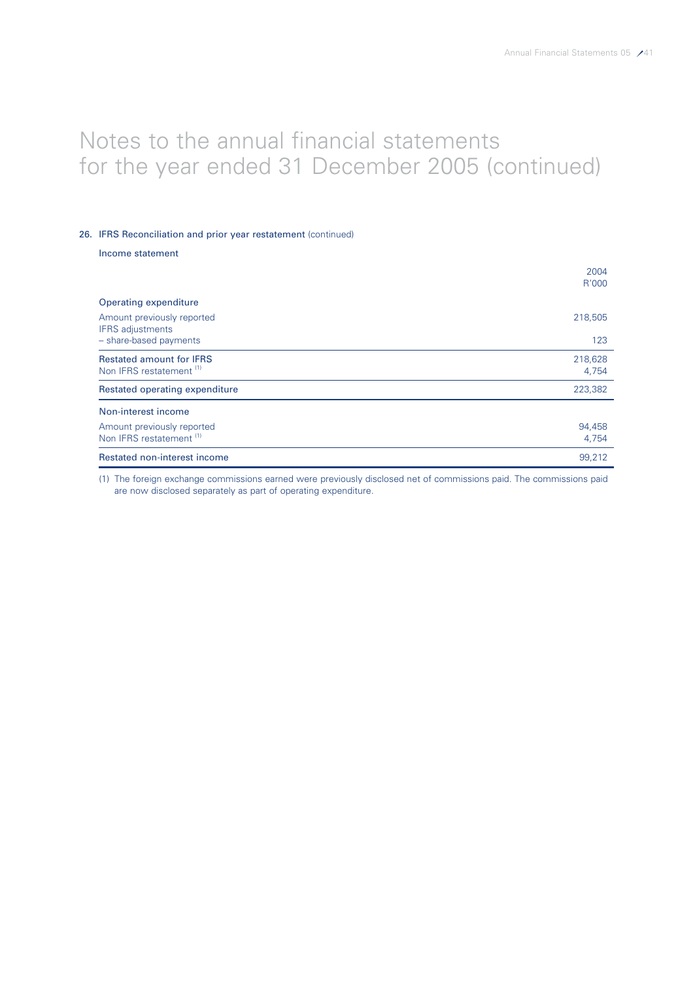### 26. IFRS Reconciliation and prior year restatement (continued)

|  | Income statement |
|--|------------------|
|  |                  |

|                                                                        | 2004<br>R'000    |
|------------------------------------------------------------------------|------------------|
| Operating expenditure                                                  |                  |
| Amount previously reported<br><b>IFRS</b> adjustments                  | 218,505          |
| - share-based payments                                                 | 123              |
| <b>Restated amount for IFRS</b><br>Non IFRS restatement <sup>(1)</sup> | 218,628<br>4,754 |
| Restated operating expenditure                                         | 223,382          |
| Non-interest income                                                    |                  |
| Amount previously reported                                             | 94,458           |
| Non IFRS restatement <sup>(1)</sup>                                    | 4,754            |
| Restated non-interest income                                           | 99.212           |

(1) The foreign exchange commissions earned were previously disclosed net of commissions paid. The commissions paid are now disclosed separately as part of operating expenditure.